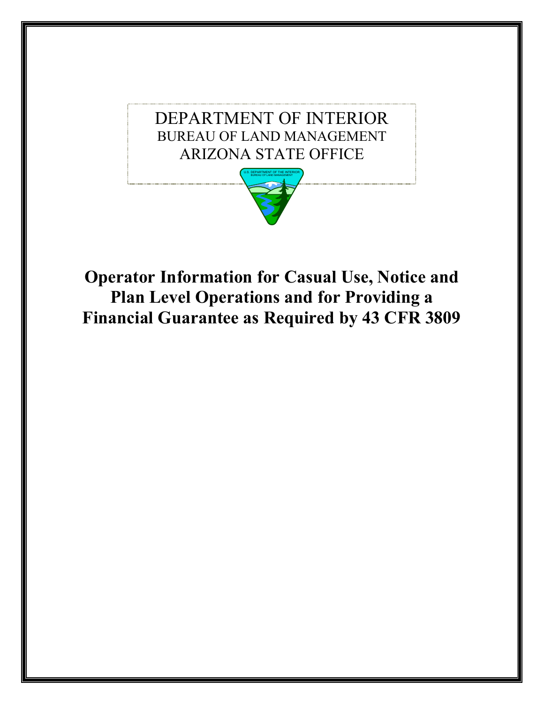

**Operator Information for Casual Use, Notice and Plan Level Operations and for Providing a Financial Guarantee as Required by 43 CFR 3809**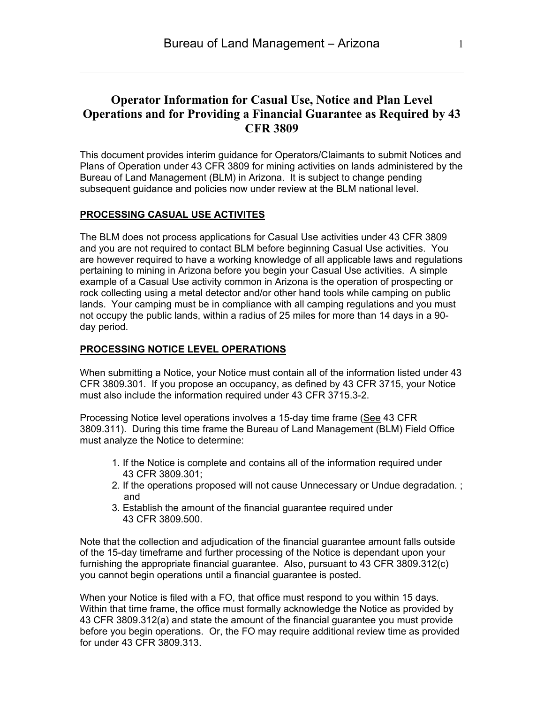### **Operator Information for Casual Use, Notice and Plan Level Operations and for Providing a Financial Guarantee as Required by 43 CFR 3809**

This document provides interim guidance for Operators/Claimants to submit Notices and Plans of Operation under 43 CFR 3809 for mining activities on lands administered by the Bureau of Land Management (BLM) in Arizona. It is subject to change pending subsequent guidance and policies now under review at the BLM national level.

### **PROCESSING CASUAL USE ACTIVITES**

The BLM does not process applications for Casual Use activities under 43 CFR 3809 and you are not required to contact BLM before beginning Casual Use activities. You are however required to have a working knowledge of all applicable laws and regulations pertaining to mining in Arizona before you begin your Casual Use activities. A simple example of a Casual Use activity common in Arizona is the operation of prospecting or rock collecting using a metal detector and/or other hand tools while camping on public lands. Your camping must be in compliance with all camping regulations and you must not occupy the public lands, within a radius of 25 miles for more than 14 days in a 90 day period.

#### **PROCESSING NOTICE LEVEL OPERATIONS**

When submitting a Notice, your Notice must contain all of the information listed under 43 CFR 3809.301. If you propose an occupancy, as defined by 43 CFR 3715, your Notice must also include the information required under 43 CFR 3715.3-2.

Processing Notice level operations involves a 15-day time frame (See 43 CFR 3809.311). During this time frame the Bureau of Land Management (BLM) Field Office must analyze the Notice to determine:

- 1. If the Notice is complete and contains all of the information required under 43 CFR 3809.301;
- 2. If the operations proposed will not cause Unnecessary or Undue degradation. ; and
- 3. Establish the amount of the financial guarantee required under 43 CFR 3809.500.

Note that the collection and adjudication of the financial guarantee amount falls outside of the 15-day timeframe and further processing of the Notice is dependant upon your furnishing the appropriate financial guarantee. Also, pursuant to 43 CFR 3809.312(c) you cannot begin operations until a financial guarantee is posted.

When your Notice is filed with a FO, that office must respond to you within 15 days. Within that time frame, the office must formally acknowledge the Notice as provided by 43 CFR 3809.312(a) and state the amount of the financial guarantee you must provide before you begin operations. Or, the FO may require additional review time as provided for under 43 CFR 3809.313.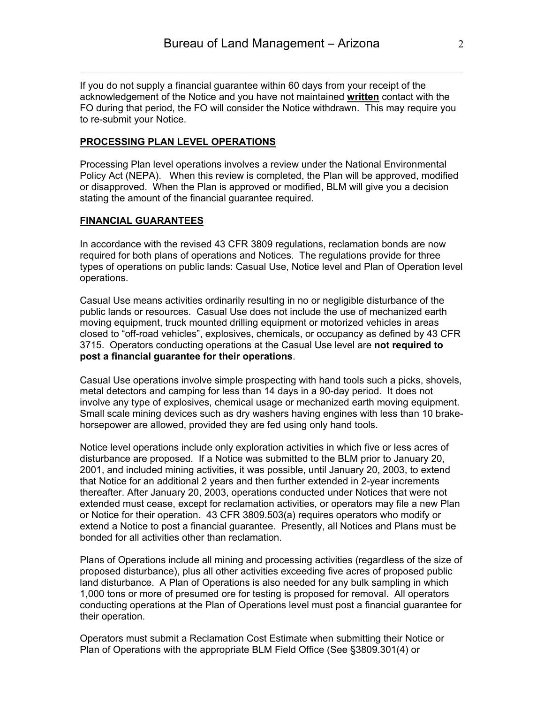If you do not supply a financial guarantee within 60 days from your receipt of the acknowledgement of the Notice and you have not maintained **written** contact with the FO during that period, the FO will consider the Notice withdrawn. This may require you to re-submit your Notice.

#### **PROCESSING PLAN LEVEL OPERATIONS**

Processing Plan level operations involves a review under the National Environmental Policy Act (NEPA). When this review is completed, the Plan will be approved, modified or disapproved. When the Plan is approved or modified, BLM will give you a decision stating the amount of the financial guarantee required.

#### **FINANCIAL GUARANTEES**

In accordance with the revised 43 CFR 3809 regulations, reclamation bonds are now required for both plans of operations and Notices. The regulations provide for three types of operations on public lands: Casual Use, Notice level and Plan of Operation level operations.

Casual Use means activities ordinarily resulting in no or negligible disturbance of the public lands or resources. Casual Use does not include the use of mechanized earth moving equipment, truck mounted drilling equipment or motorized vehicles in areas closed to "off-road vehicles", explosives, chemicals, or occupancy as defined by 43 CFR 3715. Operators conducting operations at the Casual Use level are **not required to post a financial guarantee for their operations**.

Casual Use operations involve simple prospecting with hand tools such a picks, shovels, metal detectors and camping for less than 14 days in a 90-day period. It does not involve any type of explosives, chemical usage or mechanized earth moving equipment. Small scale mining devices such as dry washers having engines with less than 10 brakehorsepower are allowed, provided they are fed using only hand tools.

Notice level operations include only exploration activities in which five or less acres of disturbance are proposed. If a Notice was submitted to the BLM prior to January 20, 2001, and included mining activities, it was possible, until January 20, 2003, to extend that Notice for an additional 2 years and then further extended in 2-year increments thereafter. After January 20, 2003, operations conducted under Notices that were not extended must cease, except for reclamation activities, or operators may file a new Plan or Notice for their operation. 43 CFR 3809.503(a) requires operators who modify or extend a Notice to post a financial guarantee. Presently, all Notices and Plans must be bonded for all activities other than reclamation.

Plans of Operations include all mining and processing activities (regardless of the size of proposed disturbance), plus all other activities exceeding five acres of proposed public land disturbance. A Plan of Operations is also needed for any bulk sampling in which 1,000 tons or more of presumed ore for testing is proposed for removal. All operators conducting operations at the Plan of Operations level must post a financial guarantee for their operation.

Operators must submit a Reclamation Cost Estimate when submitting their Notice or Plan of Operations with the appropriate BLM Field Office (See §3809.301(4) or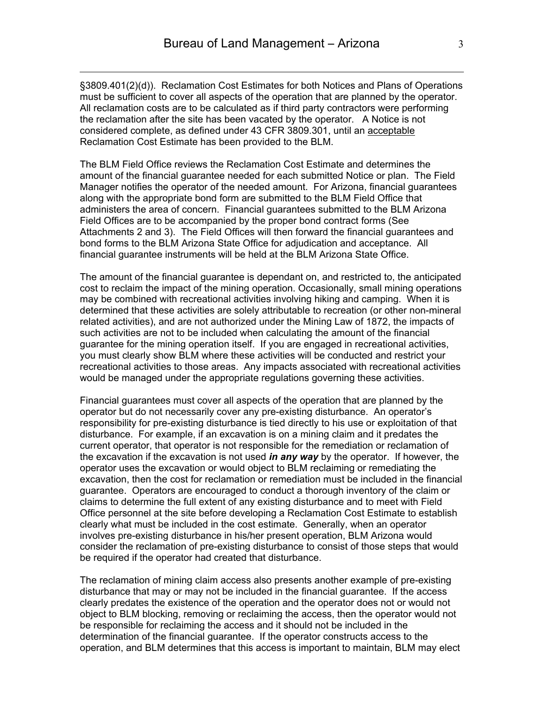§3809.401(2)(d)). Reclamation Cost Estimates for both Notices and Plans of Operations must be sufficient to cover all aspects of the operation that are planned by the operator. All reclamation costs are to be calculated as if third party contractors were performing the reclamation after the site has been vacated by the operator. A Notice is not considered complete, as defined under 43 CFR 3809.301, until an acceptable Reclamation Cost Estimate has been provided to the BLM.

The BLM Field Office reviews the Reclamation Cost Estimate and determines the amount of the financial guarantee needed for each submitted Notice or plan. The Field Manager notifies the operator of the needed amount. For Arizona, financial guarantees along with the appropriate bond form are submitted to the BLM Field Office that administers the area of concern. Financial guarantees submitted to the BLM Arizona Field Offices are to be accompanied by the proper bond contract forms (See Attachments 2 and 3). The Field Offices will then forward the financial guarantees and bond forms to the BLM Arizona State Office for adjudication and acceptance. All financial guarantee instruments will be held at the BLM Arizona State Office.

The amount of the financial guarantee is dependant on, and restricted to, the anticipated cost to reclaim the impact of the mining operation. Occasionally, small mining operations may be combined with recreational activities involving hiking and camping. When it is determined that these activities are solely attributable to recreation (or other non-mineral related activities), and are not authorized under the Mining Law of 1872, the impacts of such activities are not to be included when calculating the amount of the financial guarantee for the mining operation itself. If you are engaged in recreational activities, you must clearly show BLM where these activities will be conducted and restrict your recreational activities to those areas. Any impacts associated with recreational activities would be managed under the appropriate regulations governing these activities.

Financial guarantees must cover all aspects of the operation that are planned by the operator but do not necessarily cover any pre-existing disturbance. An operator's responsibility for pre-existing disturbance is tied directly to his use or exploitation of that disturbance. For example, if an excavation is on a mining claim and it predates the current operator, that operator is not responsible for the remediation or reclamation of the excavation if the excavation is not used *in any way* by the operator. If however, the operator uses the excavation or would object to BLM reclaiming or remediating the excavation, then the cost for reclamation or remediation must be included in the financial guarantee. Operators are encouraged to conduct a thorough inventory of the claim or claims to determine the full extent of any existing disturbance and to meet with Field Office personnel at the site before developing a Reclamation Cost Estimate to establish clearly what must be included in the cost estimate. Generally, when an operator involves pre-existing disturbance in his/her present operation, BLM Arizona would consider the reclamation of pre-existing disturbance to consist of those steps that would be required if the operator had created that disturbance.

The reclamation of mining claim access also presents another example of pre-existing disturbance that may or may not be included in the financial guarantee. If the access clearly predates the existence of the operation and the operator does not or would not object to BLM blocking, removing or reclaiming the access, then the operator would not be responsible for reclaiming the access and it should not be included in the determination of the financial guarantee. If the operator constructs access to the operation, and BLM determines that this access is important to maintain, BLM may elect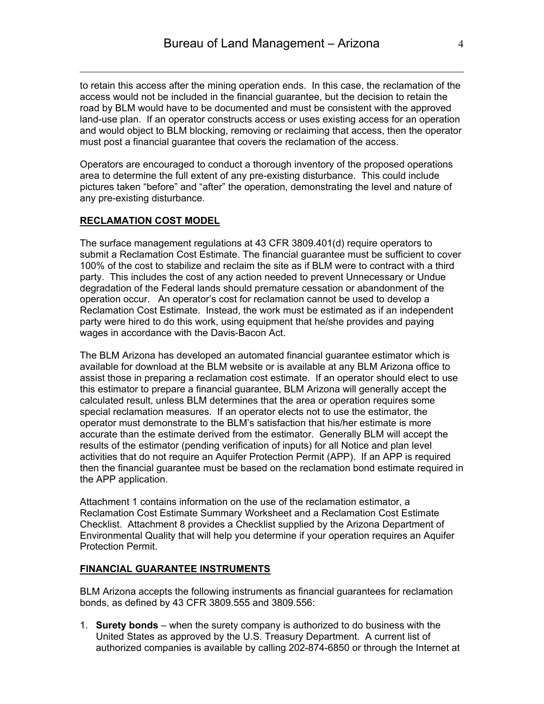to retain this access after the mining operation ends. In this case, the reclamation of the access would not be included in the financial guarantee, but the decision to retain the road by BLM would have to be documented and must be consistent with the approved land-use plan. If an operator constructs access or uses existing access for an operation and would object to BLM blocking, removing or reclaiming that access, then the operator must post a financial guarantee that covers the reclamation of the access.

Operators are encouraged to conduct a thorough inventory of the proposed operations area to determine the full extent of any pre-existing disturbance. This could include pictures taken "before" and "after" the operation, demonstrating the level and nature of any pre-existing disturbance.

#### **RECLAMATION COST MODEL**

The surface management regulations at 43 CFR 3809.401(d) require operators to submit a Reclamation Cost Estimate. The financial guarantee must be sufficient to cover 100% of the cost to stabilize and reclaim the site as if BLM were to contract with a third party. This includes the cost of any action needed to prevent Unnecessary or Undue degradation of the Federal lands should premature cessation or abandonment of the operation occur. An operator's cost for reclamation cannot be used to develop a Reclamation Cost Estimate. Instead, the work must be estimated as if an independent party were hired to do this work, using equipment that he/she provides and paying wages in accordance with the Davis-Bacon Act.

The BLM Arizona has developed an automated financial guarantee estimator which is available for download at the BLM website or is available at any BLM Arizona office to assist those in preparing a reclamation cost estimate. If an operator should elect to use this estimator to prepare a financial guarantee, BLM Arizona will generally accept the calculated result, unless BLM determines that the area or operation requires some special reclamation measures. If an operator elects not to use the estimator, the operator must demonstrate to the BLM's satisfaction that his/her estimate is more accurate than the estimate derived from the estimator. Generally BLM will accept the results of the estimator (pending verification of inputs) for all Notice and plan level activities that do not require an Aquifer Protection Permit (APP). If an APP is required then the financial guarantee must be based on the reclamation bond estimate required in the APP application.

Attachment 1 contains information on the use of the reclamation estimator, a Reclamation Cost Estimate Summary Worksheet and a Reclamation Cost Estimate Checklist. Attachment 8 provides a Checklist supplied by the Arizona Department of Environmental Quality that will help you determine if your operation requires an Aquifer Protection Permit.

#### **FINANCIAL GUARANTEE INSTRUMENTS**

BLM Arizona accepts the following instruments as financial guarantees for reclamation bonds, as defined by 43 CFR 3809.555 and 3809.556:

1. **Surety bonds** – when the surety company is authorized to do business with the United States as approved by the U.S. Treasury Department. A current list of authorized companies is available by calling 202-874-6850 or through the Internet at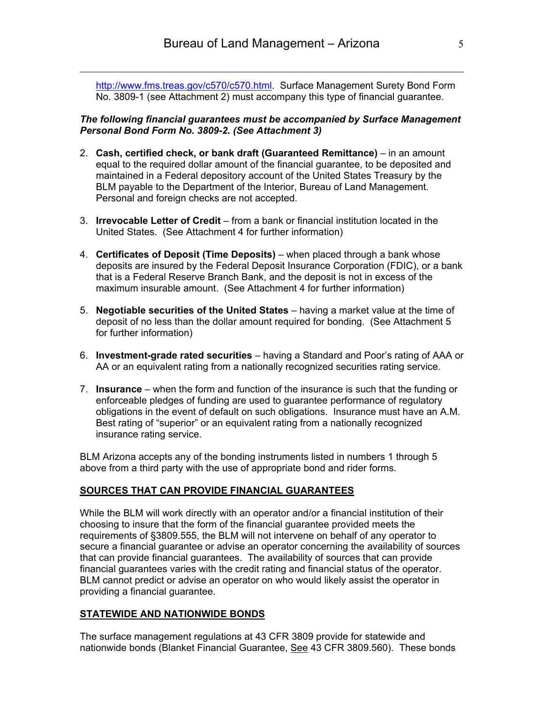http://www.fms.treas.gov/c570/c570.html. Surface Management Surety Bond Form No. 3809-1 (see Attachment 2) must accompany this type of financial guarantee.

#### *The following financial guarantees must be accompanied by Surface Management Personal Bond Form No. 3809-2. (See Attachment 3)*

- 2. **Cash, certified check, or bank draft (Guaranteed Remittance)** in an amount equal to the required dollar amount of the financial guarantee, to be deposited and maintained in a Federal depository account of the United States Treasury by the BLM payable to the Department of the Interior, Bureau of Land Management. Personal and foreign checks are not accepted.
- 3. **Irrevocable Letter of Credit** from a bank or financial institution located in the United States. (See Attachment 4 for further information)
- 4. **Certificates of Deposit (Time Deposits)** when placed through a bank whose deposits are insured by the Federal Deposit Insurance Corporation (FDIC), or a bank that is a Federal Reserve Branch Bank, and the deposit is not in excess of the maximum insurable amount. (See Attachment 4 for further information)
- 5. **Negotiable securities of the United States** having a market value at the time of deposit of no less than the dollar amount required for bonding. (See Attachment 5 for further information)
- 6. **Investment-grade rated securities** having a Standard and Poor's rating of AAA or AA or an equivalent rating from a nationally recognized securities rating service.
- 7. **Insurance** when the form and function of the insurance is such that the funding or enforceable pledges of funding are used to guarantee performance of regulatory obligations in the event of default on such obligations. Insurance must have an A.M. Best rating of "superior" or an equivalent rating from a nationally recognized insurance rating service.

BLM Arizona accepts any of the bonding instruments listed in numbers 1 through 5 above from a third party with the use of appropriate bond and rider forms.

### **SOURCES THAT CAN PROVIDE FINANCIAL GUARANTEES**

While the BLM will work directly with an operator and/or a financial institution of their choosing to insure that the form of the financial guarantee provided meets the requirements of §3809.555, the BLM will not intervene on behalf of any operator to secure a financial guarantee or advise an operator concerning the availability of sources that can provide financial guarantees. The availability of sources that can provide financial guarantees varies with the credit rating and financial status of the operator. BLM cannot predict or advise an operator on who would likely assist the operator in providing a financial guarantee.

### **STATEWIDE AND NATIONWIDE BONDS**

The surface management regulations at 43 CFR 3809 provide for statewide and nationwide bonds (Blanket Financial Guarantee, See 43 CFR 3809.560). These bonds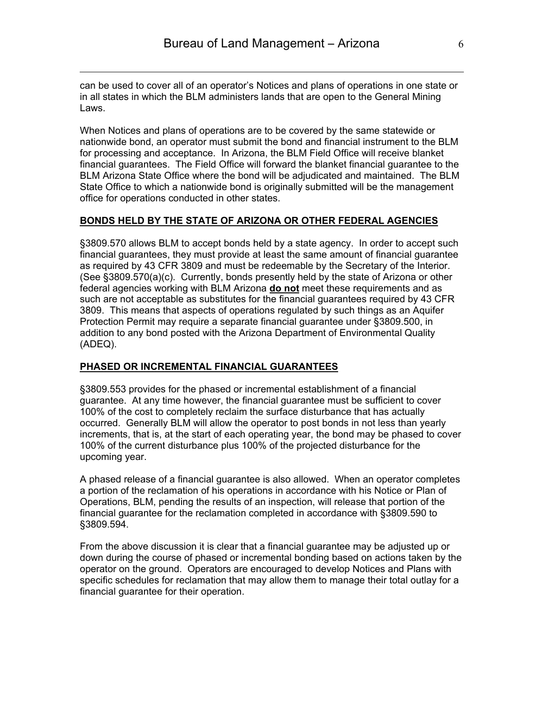can be used to cover all of an operator's Notices and plans of operations in one state or in all states in which the BLM administers lands that are open to the General Mining Laws.

When Notices and plans of operations are to be covered by the same statewide or nationwide bond, an operator must submit the bond and financial instrument to the BLM for processing and acceptance. In Arizona, the BLM Field Office will receive blanket financial guarantees. The Field Office will forward the blanket financial guarantee to the BLM Arizona State Office where the bond will be adjudicated and maintained. The BLM State Office to which a nationwide bond is originally submitted will be the management office for operations conducted in other states.

#### **BONDS HELD BY THE STATE OF ARIZONA OR OTHER FEDERAL AGENCIES**

§3809.570 allows BLM to accept bonds held by a state agency. In order to accept such financial guarantees, they must provide at least the same amount of financial guarantee as required by 43 CFR 3809 and must be redeemable by the Secretary of the Interior. (See §3809.570(a)(c). Currently, bonds presently held by the state of Arizona or other federal agencies working with BLM Arizona **do not** meet these requirements and as such are not acceptable as substitutes for the financial guarantees required by 43 CFR 3809. This means that aspects of operations regulated by such things as an Aquifer Protection Permit may require a separate financial guarantee under §3809.500, in addition to any bond posted with the Arizona Department of Environmental Quality (ADEQ).

#### **PHASED OR INCREMENTAL FINANCIAL GUARANTEES**

§3809.553 provides for the phased or incremental establishment of a financial guarantee. At any time however, the financial guarantee must be sufficient to cover 100% of the cost to completely reclaim the surface disturbance that has actually occurred. Generally BLM will allow the operator to post bonds in not less than yearly increments, that is, at the start of each operating year, the bond may be phased to cover 100% of the current disturbance plus 100% of the projected disturbance for the upcoming year.

A phased release of a financial guarantee is also allowed. When an operator completes a portion of the reclamation of his operations in accordance with his Notice or Plan of Operations, BLM, pending the results of an inspection, will release that portion of the financial guarantee for the reclamation completed in accordance with §3809.590 to §3809.594.

From the above discussion it is clear that a financial guarantee may be adjusted up or down during the course of phased or incremental bonding based on actions taken by the operator on the ground. Operators are encouraged to develop Notices and Plans with specific schedules for reclamation that may allow them to manage their total outlay for a financial guarantee for their operation.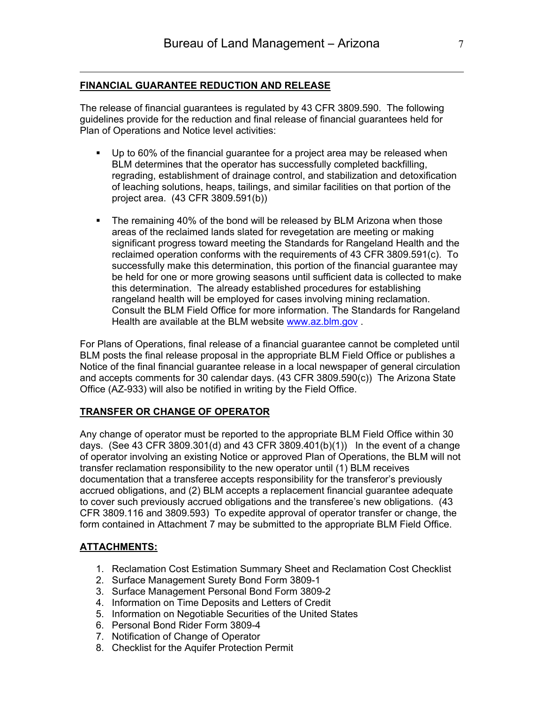### **FINANCIAL GUARANTEE REDUCTION AND RELEASE**

The release of financial guarantees is regulated by 43 CFR 3809.590. The following guidelines provide for the reduction and final release of financial guarantees held for Plan of Operations and Notice level activities:

- Up to 60% of the financial guarantee for a project area may be released when BLM determines that the operator has successfully completed backfilling, regrading, establishment of drainage control, and stabilization and detoxification of leaching solutions, heaps, tailings, and similar facilities on that portion of the project area. (43 CFR 3809.591(b))
- The remaining 40% of the bond will be released by BLM Arizona when those areas of the reclaimed lands slated for revegetation are meeting or making significant progress toward meeting the Standards for Rangeland Health and the reclaimed operation conforms with the requirements of 43 CFR 3809.591(c). To successfully make this determination, this portion of the financial guarantee may be held for one or more growing seasons until sufficient data is collected to make this determination. The already established procedures for establishing rangeland health will be employed for cases involving mining reclamation. Consult the BLM Field Office for more information. The Standards for Rangeland Health are available at the BLM website www.az.blm.gov .

For Plans of Operations, final release of a financial guarantee cannot be completed until BLM posts the final release proposal in the appropriate BLM Field Office or publishes a Notice of the final financial guarantee release in a local newspaper of general circulation and accepts comments for 30 calendar days. (43 CFR 3809.590(c)) The Arizona State Office (AZ-933) will also be notified in writing by the Field Office.

#### **TRANSFER OR CHANGE OF OPERATOR**

Any change of operator must be reported to the appropriate BLM Field Office within 30 days. (See 43 CFR 3809.301(d) and 43 CFR 3809.401(b)(1)) In the event of a change of operator involving an existing Notice or approved Plan of Operations, the BLM will not transfer reclamation responsibility to the new operator until (1) BLM receives documentation that a transferee accepts responsibility for the transferor's previously accrued obligations, and (2) BLM accepts a replacement financial guarantee adequate to cover such previously accrued obligations and the transferee's new obligations. (43 CFR 3809.116 and 3809.593) To expedite approval of operator transfer or change, the form contained in Attachment 7 may be submitted to the appropriate BLM Field Office.

#### **ATTACHMENTS:**

- 1. Reclamation Cost Estimation Summary Sheet and Reclamation Cost Checklist
- 2. Surface Management Surety Bond Form 3809-1
- 3. Surface Management Personal Bond Form 3809-2
- 4. Information on Time Deposits and Letters of Credit
- 5. Information on Negotiable Securities of the United States
- 6. Personal Bond Rider Form 3809-4
- 7. Notification of Change of Operator
- 8. Checklist for the Aquifer Protection Permit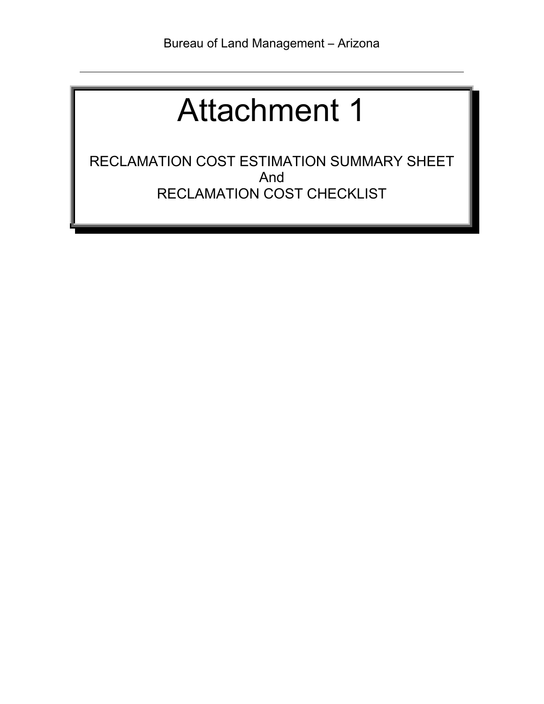RECLAMATION COST ESTIMATION SUMMARY SHEET And RECLAMATION COST CHECKLIST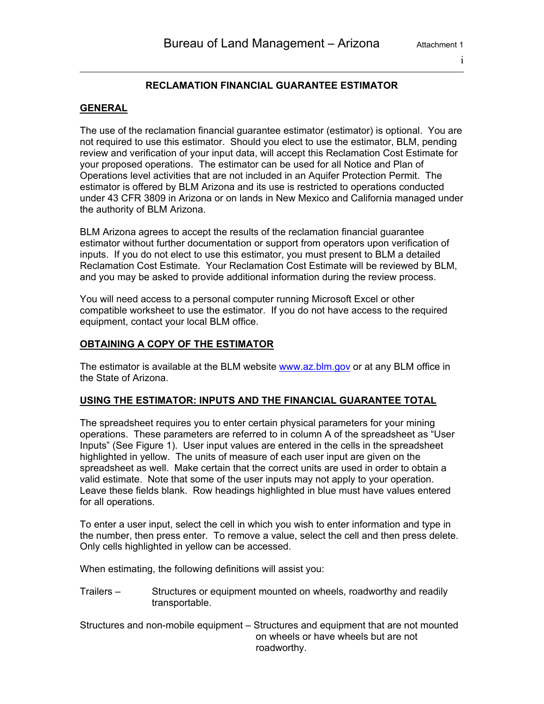#### i

### **RECLAMATION FINANCIAL GUARANTEE ESTIMATOR**

#### **GENERAL**

The use of the reclamation financial guarantee estimator (estimator) is optional. You are not required to use this estimator. Should you elect to use the estimator, BLM, pending review and verification of your input data, will accept this Reclamation Cost Estimate for your proposed operations. The estimator can be used for all Notice and Plan of Operations level activities that are not included in an Aquifer Protection Permit. The estimator is offered by BLM Arizona and its use is restricted to operations conducted under 43 CFR 3809 in Arizona or on lands in New Mexico and California managed under the authority of BLM Arizona.

BLM Arizona agrees to accept the results of the reclamation financial guarantee estimator without further documentation or support from operators upon verification of inputs. If you do not elect to use this estimator, you must present to BLM a detailed Reclamation Cost Estimate. Your Reclamation Cost Estimate will be reviewed by BLM, and you may be asked to provide additional information during the review process.

You will need access to a personal computer running Microsoft Excel or other compatible worksheet to use the estimator. If you do not have access to the required equipment, contact your local BLM office.

#### **OBTAINING A COPY OF THE ESTIMATOR**

The estimator is available at the BLM website www.az.blm.gov or at any BLM office in the State of Arizona.

#### **USING THE ESTIMATOR: INPUTS AND THE FINANCIAL GUARANTEE TOTAL**

The spreadsheet requires you to enter certain physical parameters for your mining operations. These parameters are referred to in column A of the spreadsheet as "User Inputs" (See Figure 1). User input values are entered in the cells in the spreadsheet highlighted in yellow. The units of measure of each user input are given on the spreadsheet as well. Make certain that the correct units are used in order to obtain a valid estimate. Note that some of the user inputs may not apply to your operation. Leave these fields blank. Row headings highlighted in blue must have values entered for all operations.

To enter a user input, select the cell in which you wish to enter information and type in the number, then press enter. To remove a value, select the cell and then press delete. Only cells highlighted in yellow can be accessed.

When estimating, the following definitions will assist you:

Trailers – Structures or equipment mounted on wheels, roadworthy and readily transportable.

Structures and non-mobile equipment – Structures and equipment that are not mounted on wheels or have wheels but are not roadworthy.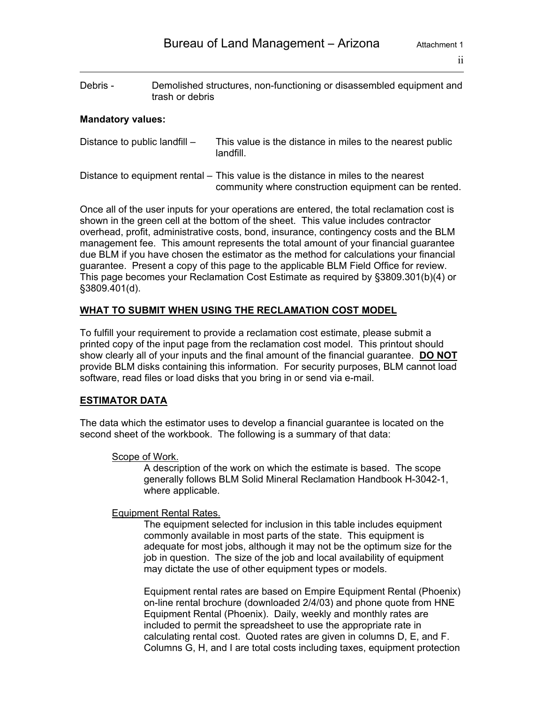Debris - Demolished structures, non-functioning or disassembled equipment and trash or debris

#### **Mandatory values:**

- Distance to public landfill This value is the distance in miles to the nearest public landfill.
- Distance to equipment rental This value is the distance in miles to the nearest community where construction equipment can be rented.

Once all of the user inputs for your operations are entered, the total reclamation cost is shown in the green cell at the bottom of the sheet. This value includes contractor overhead, profit, administrative costs, bond, insurance, contingency costs and the BLM management fee. This amount represents the total amount of your financial guarantee due BLM if you have chosen the estimator as the method for calculations your financial guarantee. Present a copy of this page to the applicable BLM Field Office for review. This page becomes your Reclamation Cost Estimate as required by §3809.301(b)(4) or §3809.401(d).

#### **WHAT TO SUBMIT WHEN USING THE RECLAMATION COST MODEL**

To fulfill your requirement to provide a reclamation cost estimate, please submit a printed copy of the input page from the reclamation cost model. This printout should show clearly all of your inputs and the final amount of the financial guarantee. **DO NOT** provide BLM disks containing this information. For security purposes, BLM cannot load software, read files or load disks that you bring in or send via e-mail.

### **ESTIMATOR DATA**

The data which the estimator uses to develop a financial guarantee is located on the second sheet of the workbook. The following is a summary of that data:

#### Scope of Work.

A description of the work on which the estimate is based. The scope generally follows BLM Solid Mineral Reclamation Handbook H-3042-1, where applicable.

#### Equipment Rental Rates.

The equipment selected for inclusion in this table includes equipment commonly available in most parts of the state. This equipment is adequate for most jobs, although it may not be the optimum size for the job in question. The size of the job and local availability of equipment may dictate the use of other equipment types or models.

Equipment rental rates are based on Empire Equipment Rental (Phoenix) on-line rental brochure (downloaded 2/4/03) and phone quote from HNE Equipment Rental (Phoenix). Daily, weekly and monthly rates are included to permit the spreadsheet to use the appropriate rate in calculating rental cost. Quoted rates are given in columns D, E, and F. Columns G, H, and I are total costs including taxes, equipment protection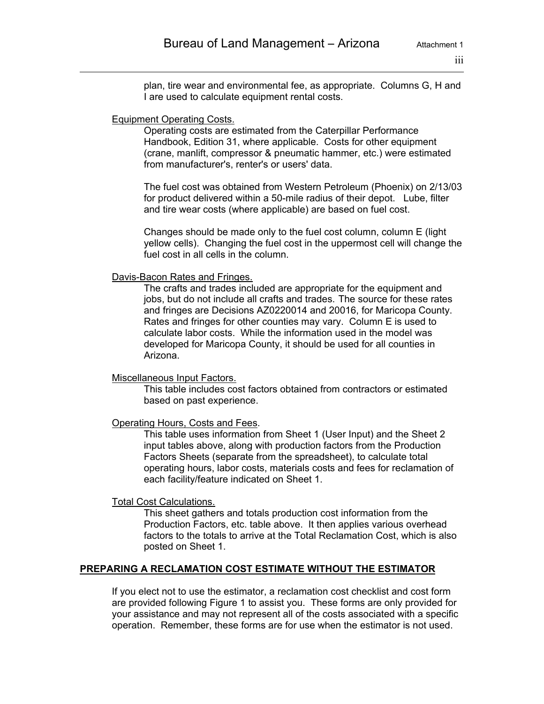plan, tire wear and environmental fee, as appropriate. Columns G, H and I are used to calculate equipment rental costs.

#### Equipment Operating Costs.

Operating costs are estimated from the Caterpillar Performance Handbook, Edition 31, where applicable. Costs for other equipment (crane, manlift, compressor & pneumatic hammer, etc.) were estimated from manufacturer's, renter's or users' data.

The fuel cost was obtained from Western Petroleum (Phoenix) on 2/13/03 for product delivered within a 50-mile radius of their depot. Lube, filter and tire wear costs (where applicable) are based on fuel cost.

Changes should be made only to the fuel cost column, column E (light yellow cells). Changing the fuel cost in the uppermost cell will change the fuel cost in all cells in the column.

#### Davis-Bacon Rates and Fringes.

The crafts and trades included are appropriate for the equipment and jobs, but do not include all crafts and trades. The source for these rates and fringes are Decisions AZ0220014 and 20016, for Maricopa County. Rates and fringes for other counties may vary. Column E is used to calculate labor costs. While the information used in the model was developed for Maricopa County, it should be used for all counties in Arizona.

#### Miscellaneous Input Factors.

This table includes cost factors obtained from contractors or estimated based on past experience.

#### Operating Hours, Costs and Fees.

This table uses information from Sheet 1 (User Input) and the Sheet 2 input tables above, along with production factors from the Production Factors Sheets (separate from the spreadsheet), to calculate total operating hours, labor costs, materials costs and fees for reclamation of each facility/feature indicated on Sheet 1.

#### Total Cost Calculations.

This sheet gathers and totals production cost information from the Production Factors, etc. table above. It then applies various overhead factors to the totals to arrive at the Total Reclamation Cost, which is also posted on Sheet 1.

#### **PREPARING A RECLAMATION COST ESTIMATE WITHOUT THE ESTIMATOR**

If you elect not to use the estimator, a reclamation cost checklist and cost form are provided following Figure 1 to assist you. These forms are only provided for your assistance and may not represent all of the costs associated with a specific operation. Remember, these forms are for use when the estimator is not used.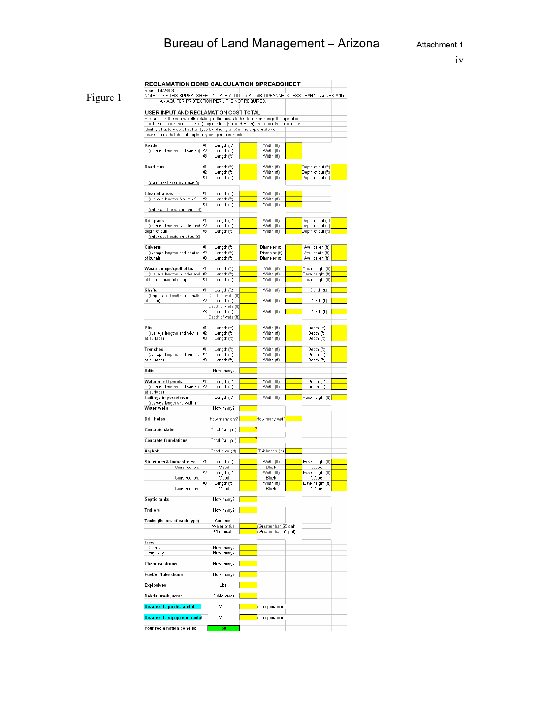## Bureau of Land Management - Arizona **Attachment 1**

iv

| Revised 4/23/03<br>NOTE: USE THIS SPREADSHEET ONLY IF YOUR TOTAL DISTURBANCE IS LESS THAN 20 ACRES AND                                                                         |          |                                   |                                |                                        |
|--------------------------------------------------------------------------------------------------------------------------------------------------------------------------------|----------|-----------------------------------|--------------------------------|----------------------------------------|
| AN AQUIFER PROTECTION PERMIT IS NOT REQUIRED.                                                                                                                                  |          |                                   |                                |                                        |
| USER INPUT AND RECLAMATION COST TOTAL                                                                                                                                          |          |                                   |                                |                                        |
| Please fill in the yellow cells relating to the areas to be disturbed during the operation.                                                                                    |          |                                   |                                |                                        |
| Use the units indicated - feet (ft), square feet (sf), inches (in), cubic yards (cu yd), etc.<br>Identify structure construction type by placing an X in the appropriate cell. |          |                                   |                                |                                        |
| Leave boxes that do not apply to your operation blank.                                                                                                                         |          |                                   |                                |                                        |
| Roads                                                                                                                                                                          | #1       | Length (ft)                       | Width (ft)                     |                                        |
| (average lengths and widths) #2                                                                                                                                                |          | Length (ft)                       | Width (ft)                     |                                        |
|                                                                                                                                                                                | #3       | Length (ft)                       | Width (ft)                     |                                        |
| Road cuts                                                                                                                                                                      | #1       | Length (ft)                       | Width (ft)                     | Depth of cut (ft)                      |
|                                                                                                                                                                                | #2<br>#3 | Length (ft)<br>Length (ft)        | Width (ft)<br>Width (ft)       | Depth of cut (ft)<br>Depth of cut (ft) |
| (enter add'l cuts on sheet 3)                                                                                                                                                  |          |                                   |                                |                                        |
|                                                                                                                                                                                |          |                                   |                                |                                        |
| Cleared areas<br>(average lengths & widths)                                                                                                                                    | #1<br>#2 | Length (ft)<br>Length (ft)        | Width (ft)<br>Width (ft)       |                                        |
|                                                                                                                                                                                | #3       | Length (ft)                       | Width (ft)                     |                                        |
| (enter add'l areas on sheet 3)                                                                                                                                                 |          |                                   |                                |                                        |
| <b>Drill pads</b>                                                                                                                                                              | #1       | Length (ft)                       | Width (ft)                     | Depth of cut (ft)                      |
| (average lengths, widths and #2<br>depth of cut)                                                                                                                               | #3       | Length (ft)<br>Length (ft)        | Width (ft)<br>Width (ft)       | Depth of cut (ft)<br>Depth of cut (ft) |
| (enter add'l pads on sheet 3)                                                                                                                                                  |          |                                   |                                |                                        |
|                                                                                                                                                                                |          |                                   |                                |                                        |
| Culverts<br>(average lengths and depths                                                                                                                                        | #1<br>#2 | Length (ft)<br>Length (ft)        | Diameter (ft)<br>Diameter (ft) | Ave. depth (ft)<br>Ave. depth (ft)     |
| of burial)                                                                                                                                                                     | #3       | Length (ft)                       | Diameter (ft)                  | Ave. depth (ft)                        |
| Waste dumps/spoil piles                                                                                                                                                        | #1       | Length (ft)                       | Width (ft)                     | Face height (ft)                       |
| (average lengths, widths and #2                                                                                                                                                |          | Length (ft)                       | Width (ft)                     | Face height (ft)                       |
| of top surfaces of dumps)                                                                                                                                                      | #3       | Length (ft)                       | Width (ft)                     | Face height (ft)                       |
| <b>Shafts</b>                                                                                                                                                                  | #1       | Length (ft)                       | Width (ft)                     | Depth (ft)                             |
| (lengths and widths of shafts                                                                                                                                                  |          | Depth of water(ft)                |                                |                                        |
| at collar)                                                                                                                                                                     | #2       | Length (ft)<br>Depth of water(ft) | Width (ft)                     | Depth (ft)                             |
|                                                                                                                                                                                | #3       | Length (ft)                       | Width (ft)                     | Depth (ft)                             |
|                                                                                                                                                                                |          | Depth of water(ft)                |                                |                                        |
| Pits                                                                                                                                                                           | #1       | Length (ft)                       | Width (ft)                     | Depth (ft)                             |
| (average lengths and widths                                                                                                                                                    | #2       | Length (ft)                       | Width (ft)                     | Depth (ft)                             |
| at surface)                                                                                                                                                                    | #3       | Length (ft)                       | Width (ft)                     | Depth (ft)                             |
| <b>Trenches</b>                                                                                                                                                                | #1       | Length (ft)                       | Width (ft)                     | Depth (ft)                             |
| (average lengths and widths<br>at surface)                                                                                                                                     | #2<br>#3 | Length (ft)<br>Length (ft)        | Width (ft)<br>Width (ft)       | Depth (ft)<br>Depth (ft)               |
|                                                                                                                                                                                |          |                                   |                                |                                        |
| Adits                                                                                                                                                                          |          | How many?                         |                                |                                        |
| Water or silt ponds                                                                                                                                                            | #1       | Length (ft)                       | Width (ft)                     | Depth (ft)                             |
| (average lengths and widths                                                                                                                                                    | #2       | Length (ft)                       | Width (ft)                     | Depth (ft)                             |
| at surface)<br>Tailings impoundment                                                                                                                                            |          | Length (ft)                       | Width (ft)                     | Face height (ft)                       |
| (average length and width)                                                                                                                                                     |          |                                   |                                |                                        |
| Water wells                                                                                                                                                                    |          | How many?                         |                                |                                        |
| Drill holes                                                                                                                                                                    |          | How many dry?                     | How many wet?                  |                                        |
|                                                                                                                                                                                |          |                                   |                                |                                        |
| <b>Concrete slabs</b>                                                                                                                                                          |          | Total (cu. yd.)                   |                                |                                        |
| <b>Concrete foundations</b>                                                                                                                                                    |          | Total (cu. yd.)                   |                                |                                        |
| Asohalt                                                                                                                                                                        |          | Total area (sf)                   | Thickness (in)                 |                                        |
|                                                                                                                                                                                |          |                                   |                                |                                        |
| Structures & Immobile Eq.                                                                                                                                                      | #1       | Length (ft)<br>Metal              | Width (ft)                     | Eave height (ft)                       |
| Construction:                                                                                                                                                                  | #2       | Length (ft)                       | Block<br>Width (ft)            | Wood<br>Eave height (ft)               |
| Construction:                                                                                                                                                                  |          | Metal                             | Block                          | Wood                                   |
| Construction:                                                                                                                                                                  | #3       | Length (ft)<br>Metal              | Width (ft)<br>Block            | Eave height (ft)<br>Wood               |
|                                                                                                                                                                                |          |                                   |                                |                                        |
| Septic tanks                                                                                                                                                                   |          | How many?                         |                                |                                        |
| <b>Trailers</b>                                                                                                                                                                |          | How many?                         |                                |                                        |
|                                                                                                                                                                                |          |                                   |                                |                                        |
| Tanks (list no. of each type)                                                                                                                                                  |          | Contents:<br>Water or fuel        | (Greater than 55 gal)          |                                        |
|                                                                                                                                                                                |          | Chemicals                         | (Greater than 55 gal)          |                                        |
| <b>Tires</b>                                                                                                                                                                   |          |                                   |                                |                                        |
| Off road                                                                                                                                                                       |          | How many?                         |                                |                                        |
| Highway                                                                                                                                                                        |          | How many?                         |                                |                                        |
| <b>Chemical drums</b>                                                                                                                                                          |          | How many?                         |                                |                                        |
|                                                                                                                                                                                |          |                                   |                                |                                        |
| Fuel/oil/lube_drums                                                                                                                                                            |          | How many?                         |                                |                                        |
|                                                                                                                                                                                |          | Lbs.                              |                                |                                        |
| <b>Explosives</b>                                                                                                                                                              |          |                                   |                                |                                        |
|                                                                                                                                                                                |          |                                   |                                |                                        |
| Debris, trash, scrap                                                                                                                                                           |          | Cubic yards                       |                                |                                        |
| <b>Distance to public landfill</b>                                                                                                                                             |          | Miles                             | (Entry required)               |                                        |
| <b>Distance to equipment rental</b>                                                                                                                                            |          | Miles                             | (Entry required)               |                                        |

## Figure 1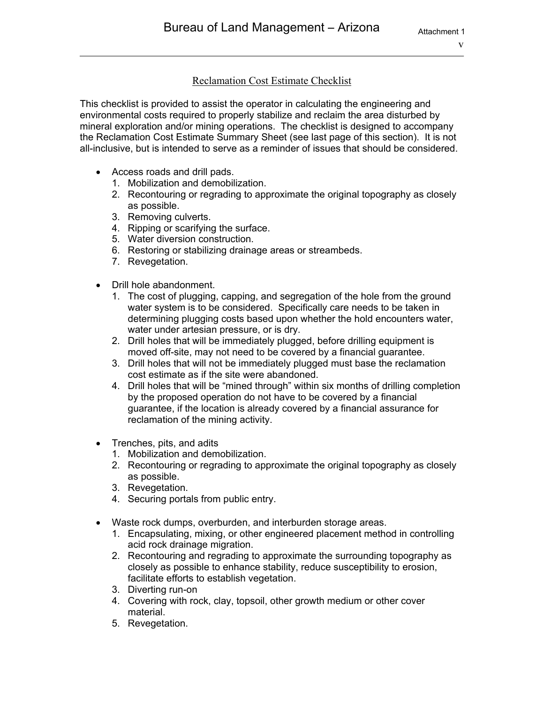### Reclamation Cost Estimate Checklist

This checklist is provided to assist the operator in calculating the engineering and environmental costs required to properly stabilize and reclaim the area disturbed by mineral exploration and/or mining operations. The checklist is designed to accompany the Reclamation Cost Estimate Summary Sheet (see last page of this section). It is not all-inclusive, but is intended to serve as a reminder of issues that should be considered.

- Access roads and drill pads.
	- 1. Mobilization and demobilization.
	- 2. Recontouring or regrading to approximate the original topography as closely as possible.
	- 3. Removing culverts.
	- 4. Ripping or scarifying the surface.
	- 5. Water diversion construction.
	- 6. Restoring or stabilizing drainage areas or streambeds.
	- 7. Revegetation.
- Drill hole abandonment.
	- 1. The cost of plugging, capping, and segregation of the hole from the ground water system is to be considered. Specifically care needs to be taken in determining plugging costs based upon whether the hold encounters water, water under artesian pressure, or is dry.
	- 2. Drill holes that will be immediately plugged, before drilling equipment is moved off-site, may not need to be covered by a financial guarantee.
	- 3. Drill holes that will not be immediately plugged must base the reclamation cost estimate as if the site were abandoned.
	- 4. Drill holes that will be "mined through" within six months of drilling completion by the proposed operation do not have to be covered by a financial guarantee, if the location is already covered by a financial assurance for reclamation of the mining activity.
- Trenches, pits, and adits
	- 1. Mobilization and demobilization.
	- 2. Recontouring or regrading to approximate the original topography as closely as possible.
	- 3. Revegetation.
	- 4. Securing portals from public entry.
- Waste rock dumps, overburden, and interburden storage areas.
	- 1. Encapsulating, mixing, or other engineered placement method in controlling acid rock drainage migration.
	- 2. Recontouring and regrading to approximate the surrounding topography as closely as possible to enhance stability, reduce susceptibility to erosion, facilitate efforts to establish vegetation.
	- 3. Diverting run-on
	- 4. Covering with rock, clay, topsoil, other growth medium or other cover material.
	- 5. Revegetation.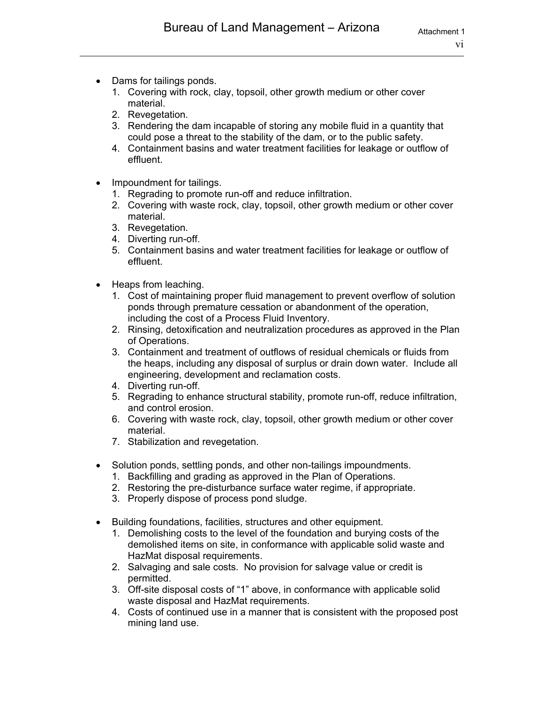- Dams for tailings ponds.
	- 1. Covering with rock, clay, topsoil, other growth medium or other cover material.
	- 2. Revegetation.
	- 3. Rendering the dam incapable of storing any mobile fluid in a quantity that could pose a threat to the stability of the dam, or to the public safety.
	- 4. Containment basins and water treatment facilities for leakage or outflow of effluent.
- Impoundment for tailings.
	- 1. Regrading to promote run-off and reduce infiltration.
	- 2. Covering with waste rock, clay, topsoil, other growth medium or other cover material.
	- 3. Revegetation.
	- 4. Diverting run-off.
	- 5. Containment basins and water treatment facilities for leakage or outflow of effluent.
- Heaps from leaching.
	- 1. Cost of maintaining proper fluid management to prevent overflow of solution ponds through premature cessation or abandonment of the operation, including the cost of a Process Fluid Inventory.
	- 2. Rinsing, detoxification and neutralization procedures as approved in the Plan of Operations.
	- 3. Containment and treatment of outflows of residual chemicals or fluids from the heaps, including any disposal of surplus or drain down water. Include all engineering, development and reclamation costs.
	- 4. Diverting run-off.
	- 5. Regrading to enhance structural stability, promote run-off, reduce infiltration, and control erosion.
	- 6. Covering with waste rock, clay, topsoil, other growth medium or other cover material.
	- 7. Stabilization and revegetation.
- Solution ponds, settling ponds, and other non-tailings impoundments.
	- 1. Backfilling and grading as approved in the Plan of Operations.
	- 2. Restoring the pre-disturbance surface water regime, if appropriate.
	- 3. Properly dispose of process pond sludge.
- Building foundations, facilities, structures and other equipment.
	- 1. Demolishing costs to the level of the foundation and burying costs of the demolished items on site, in conformance with applicable solid waste and HazMat disposal requirements.
	- 2. Salvaging and sale costs. No provision for salvage value or credit is permitted.
	- 3. Off-site disposal costs of "1" above, in conformance with applicable solid waste disposal and HazMat requirements.
	- 4. Costs of continued use in a manner that is consistent with the proposed post mining land use.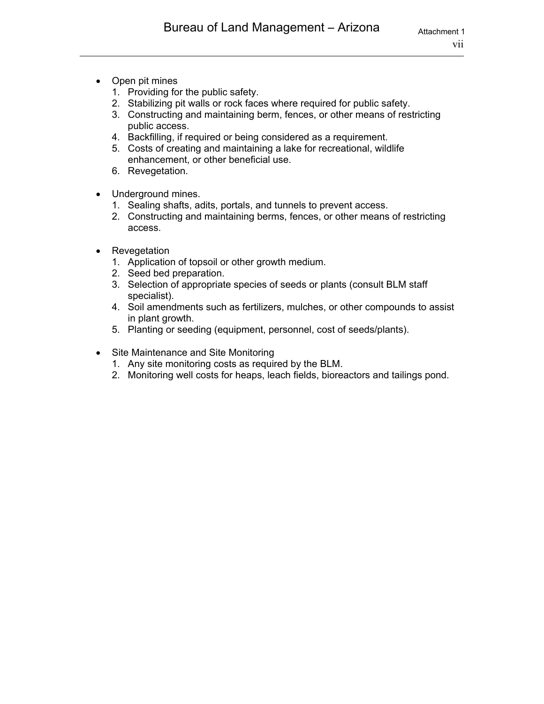- Open pit mines
	- 1. Providing for the public safety.
	- 2. Stabilizing pit walls or rock faces where required for public safety.
	- 3. Constructing and maintaining berm, fences, or other means of restricting public access.
	- 4. Backfilling, if required or being considered as a requirement.
	- 5. Costs of creating and maintaining a lake for recreational, wildlife enhancement, or other beneficial use.
	- 6. Revegetation.
- Underground mines.
	- 1. Sealing shafts, adits, portals, and tunnels to prevent access.
	- 2. Constructing and maintaining berms, fences, or other means of restricting access.
- Revegetation
	- 1. Application of topsoil or other growth medium.
	- 2. Seed bed preparation.
	- 3. Selection of appropriate species of seeds or plants (consult BLM staff specialist).
	- 4. Soil amendments such as fertilizers, mulches, or other compounds to assist in plant growth.
	- 5. Planting or seeding (equipment, personnel, cost of seeds/plants).
- Site Maintenance and Site Monitoring
	- 1. Any site monitoring costs as required by the BLM.
	- 2. Monitoring well costs for heaps, leach fields, bioreactors and tailings pond.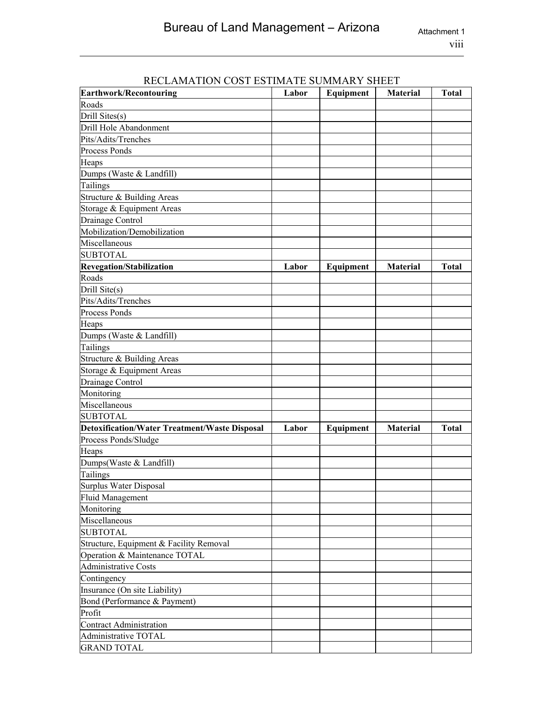| <u>NECLAMATION COST ESTIMATE SUMMANT SHEET</u><br>Earthwork/Recontouring | Labor | Equipment | <b>Material</b> | Total        |
|--------------------------------------------------------------------------|-------|-----------|-----------------|--------------|
| Roads                                                                    |       |           |                 |              |
| Drill Sites(s)                                                           |       |           |                 |              |
| Drill Hole Abandonment                                                   |       |           |                 |              |
| Pits/Adits/Trenches                                                      |       |           |                 |              |
| Process Ponds                                                            |       |           |                 |              |
| Heaps                                                                    |       |           |                 |              |
| Dumps (Waste & Landfill)                                                 |       |           |                 |              |
| Tailings                                                                 |       |           |                 |              |
| Structure & Building Areas                                               |       |           |                 |              |
| Storage & Equipment Areas                                                |       |           |                 |              |
| Drainage Control                                                         |       |           |                 |              |
| Mobilization/Demobilization                                              |       |           |                 |              |
| Miscellaneous                                                            |       |           |                 |              |
| <b>SUBTOTAL</b>                                                          |       |           |                 |              |
| <b>Revegation/Stabilization</b>                                          | Labor | Equipment | <b>Material</b> | <b>Total</b> |
| Roads                                                                    |       |           |                 |              |
| Drill Site(s)                                                            |       |           |                 |              |
| Pits/Adits/Trenches                                                      |       |           |                 |              |
| Process Ponds                                                            |       |           |                 |              |
| Heaps                                                                    |       |           |                 |              |
| Dumps (Waste & Landfill)                                                 |       |           |                 |              |
| Tailings                                                                 |       |           |                 |              |
| Structure & Building Areas                                               |       |           |                 |              |
| Storage & Equipment Areas                                                |       |           |                 |              |
| Drainage Control                                                         |       |           |                 |              |
| Monitoring                                                               |       |           |                 |              |
| Miscellaneous                                                            |       |           |                 |              |
| <b>SUBTOTAL</b>                                                          |       |           |                 |              |
| <b>Detoxification/Water Treatment/Waste Disposal</b>                     | Labor | Equipment | <b>Material</b> | <b>Total</b> |
| Process Ponds/Sludge                                                     |       |           |                 |              |
| Heaps                                                                    |       |           |                 |              |
| Dumps(Waste & Landfill)                                                  |       |           |                 |              |
| Tailings                                                                 |       |           |                 |              |
| Surplus Water Disposal                                                   |       |           |                 |              |
| <b>Fluid Management</b>                                                  |       |           |                 |              |
| Monitoring                                                               |       |           |                 |              |
| Miscellaneous                                                            |       |           |                 |              |
| <b>SUBTOTAL</b>                                                          |       |           |                 |              |
| Structure, Equipment & Facility Removal                                  |       |           |                 |              |
| Operation & Maintenance TOTAL                                            |       |           |                 |              |
| <b>Administrative Costs</b>                                              |       |           |                 |              |
| Contingency                                                              |       |           |                 |              |
| Insurance (On site Liability)                                            |       |           |                 |              |
| Bond (Performance & Payment)                                             |       |           |                 |              |
| Profit                                                                   |       |           |                 |              |
| <b>Contract Administration</b>                                           |       |           |                 |              |
| Administrative TOTAL                                                     |       |           |                 |              |
| <b>GRAND TOTAL</b>                                                       |       |           |                 |              |

### RECLAMATION COST ESTIMATE SUMMARY SHEET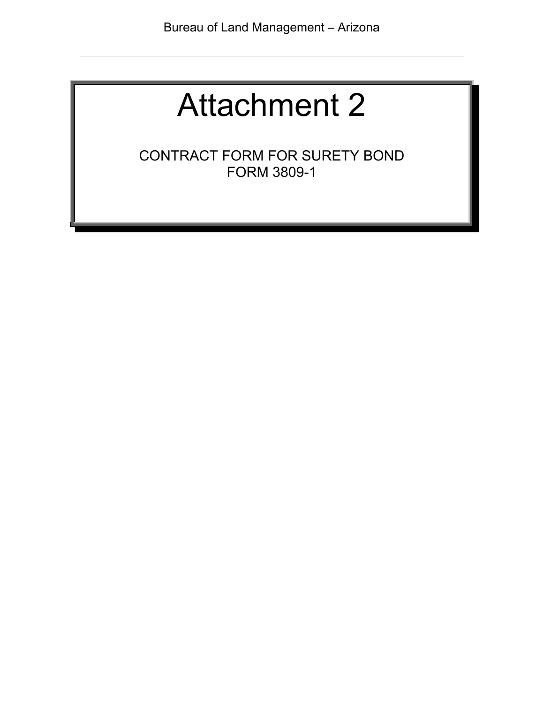CONTRACT FORM FOR SURETY BOND FORM 3809-1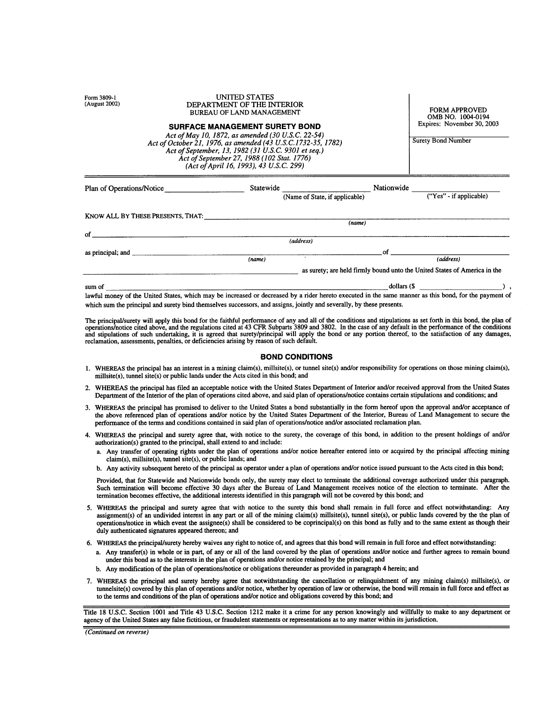| (August 2002)<br>DEPARTMENT OF THE INTERIOR<br><b>BUREAU OF LAND MANAGEMENT</b><br><b>SURFACE MANAGEMENT SURETY BOND</b><br>Act of May 10, 1872, as amended (30 U.S.C. 22-54)<br>Act of October 21, 1976, as amended (43 U.S.C.1732-35, 1782)<br>Act of September, 13, 1982 (31 U.S.C. 9301 et seq.)<br>Act of September 27, 1988 (102 Stat. 1776)<br>(Act of April 16, 1993), 43 U.S.C. 299) |                           |           |                                |             | <b>FORM APPROVED</b><br>OMB NO. 1004-0194<br>Expires: November 30, 2003<br><b>Surety Bond Number</b> |
|-----------------------------------------------------------------------------------------------------------------------------------------------------------------------------------------------------------------------------------------------------------------------------------------------------------------------------------------------------------------------------------------------|---------------------------|-----------|--------------------------------|-------------|------------------------------------------------------------------------------------------------------|
|                                                                                                                                                                                                                                                                                                                                                                                               | Plan of Operations/Notice | Statewide | (Name of State, if applicable) | Nationwide  | ("Yes" - if applicable)                                                                              |
| KNOW ALL BY THESE PRESENTS, THAT:                                                                                                                                                                                                                                                                                                                                                             |                           |           |                                |             |                                                                                                      |
| οf                                                                                                                                                                                                                                                                                                                                                                                            |                           |           | (name)                         |             |                                                                                                      |
|                                                                                                                                                                                                                                                                                                                                                                                               |                           |           | (address)                      |             |                                                                                                      |
|                                                                                                                                                                                                                                                                                                                                                                                               |                           |           |                                | οf          |                                                                                                      |
|                                                                                                                                                                                                                                                                                                                                                                                               |                           | (name)    | $\sim$                         |             | (address)                                                                                            |
|                                                                                                                                                                                                                                                                                                                                                                                               |                           |           |                                |             | as surety; are held firmly bound unto the United States of America in the                            |
| sum of                                                                                                                                                                                                                                                                                                                                                                                        |                           |           |                                | dollars (\$ |                                                                                                      |

 $\mathbf{I}$ 

**IBUTED CTATES** 

lawful money of the United States, which may be increased or decreased by a rider hereto executed in the same manner as this bond, for the payment of which sum the principal and surety bind themselves successors, and assigns, jointly and severally, by these presents.

The principal/surety will apply this bond for the faithful performance of any and all of the conditions and stipulations as set forth in this bond, the plan of operations/notice cited above, and the regulations cited at 43

#### **BOND CONDITIONS**

- 1. WHEREAS the principal has an interest in a mining claim(s), millsite(s), or tunnel site(s) and/or responsibility for operations on those mining claim(s), millsite(s), tunnel site(s) or public lands under the Acts cited in this bond; and
- 2. WHEREAS the principal has filed an acceptable notice with the United States Department of Interior and/or received approval from the United States Department of the Interior of the plan of operations cited above, and said plan of operations/notice contains certain stipulations and conditions; and
- 3. WHEREAS the principal has promised to deliver to the United States a bond substantially in the form hereof upon the approval and/or acceptance of the above referenced plan of operations and/or notice by the United States Department of the Interior, Bureau of Land Management to secure the performance of the terms and conditions contained in said plan of operations/notice and/or associated reclamation plan.
- 4. WHEREAS the principal and surety agree that, with notice to the surety, the coverage of this bond, in addition to the present holdings of and/or authorization(s) granted to the principal, shall extend to and include:
	- a. Any transfer of operating rights under the plan of operations and/or notice hereafter entered into or acquired by the principal affecting mining claim(s), millsite(s), tunnel site(s), or public lands; and
	- b. Any activity subsequent hereto of the principal as operator under a plan of operations and/or notice issued pursuant to the Acts cited in this bond;

Provided, that for Statewide and Nationwide bonds only, the surety may elect to terminate the additional coverage authorized under this paragraph. Such termination will become effective 30 days after the Bureau of Land Management receives notice of the election to terminate. After the termination becomes effective, the additional interests identified in this paragraph will not be covered by this bond; and

- 5. WHEREAS the principal and surety agree that with notice to the surety this bond shall remain in full force and effect notwithstanding: Any assignment(s) of an undivided interest in any part or all of the mining claim(s) millsite(s), tunnel site(s), or public lands covered by the the plan of operations/notice in which event the assignee(s) shall be considered to be coprincipal(s) on this bond as fully and to the same extent as though their duly authenticated signatures appeared thereon; and
- 6. WHEREAS the principal/surety hereby waives any right to notice of, and agrees that this bond will remain in full force and effect notwithstanding:
	- a. Any transfer(s) in whole or in part, of any or all of the land covered by the plan of operations and/or notice and further agrees to remain bound under this bond as to the interests in the plan of operations and/or notice retained by the principal; and
	- b. Any modification of the plan of operations/notice or obligations thereunder as provided in paragraph 4 herein; and
- 7. WHEREAS the principal and surety hereby agree that notwithstanding the cancellation or relinquishment of any mining claim(s) millsite(s), or tunnelsite(s) covered by this plan of operations and/or notice, whether by operation of law or otherwise, the bond will remain in full force and effect as to the terms and conditions of the plan of operations and/or notice and obligations covered by this bond; and

Title 18 U.S.C. Section 1001 and Title 43 U.S.C. Section 1212 make it a crime for any person knowingly and willfully to make to any department or agency of the United States any false fictitious, or fraudulent statements or representations as to any matter within its jurisdiction.

(Continued on reverse)

 $E_{\text{num}}$  2900 1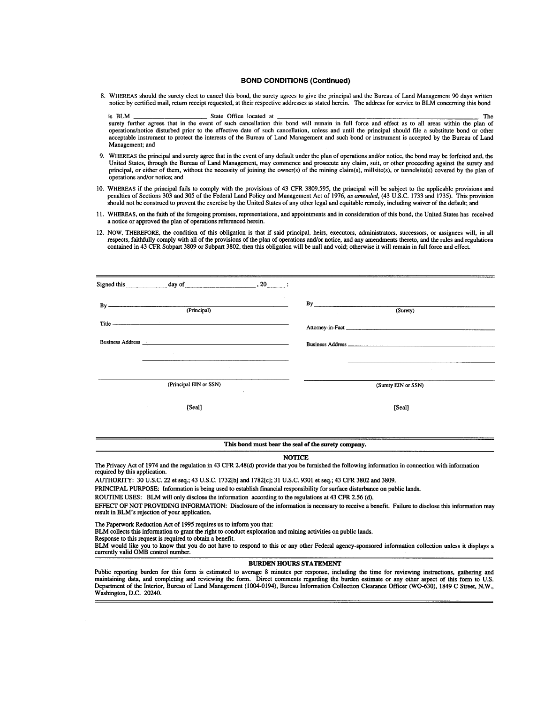#### **BOND CONDITIONS (Continued)**

8. WHEREAS should the surety elect to cancel this bond, the surety agrees to give the principal and the Bureau of Land Management 90 days written notice by certified mail, return receipt requested, at their respective addresses as stated herein. The address for service to BLM concerning this bond

is RLM State Office located at The surety further agrees that in the event of such cancellation this bond will remain in full force and effect as to all areas within the plan of operations/notice disturbed prior to the effective date of such cancellation, unless and until the principal should file a substitute bond or other acceptable instrument to protect the interests of the Bureau of Land Management and such bond or instrument is accepted by the Bureau of Land Management; and

- 9. WHEREAS the principal and surety agree that in the event of any default under the plan of operations and/or notice, the bond may be forfeited and, the United States, through the Bureau of Land Management, may commence and prosecute any claim, suit, or other proceeding against the surety and principal, or either of them, without the necessity of joining the owner(s) of the mining claim(s), millsite(s), or tunnelsite(s) covered by the plan of operations and/or notice; and
- 10. WHEREAS if the principal fails to comply with the provisions of 43 CFR 3809.595, the principal will be subject to the applicable provisions and penalties of Sections 303 and 305 of the Federal Land Policy and Management Act of 1976, as amended, (43 U.S.C. 1733 and 1735). This provision should not be construed to prevent the exercise by the United States of any other legal and equitable remedy, including waiver of the default; and
- 11. WHEREAS, on the faith of the foregoing promises, representations, and appointments and in consideration of this bond, the United States has received a notice or approved the plan of operations referenced herein.
- 12. NOW, THEREFORE, the condition of this obligation is that if said principal, heirs, executors, administrators, successors, or assignees will, in all respects, faithfully comply with all of the provisions of the plan of operations and/or notice, and any amendments thereto, and the rules and regulations contained in 43 CFR Subpart 3809 or Subpart 3802, then this obligation will be null and void; otherwise it will remain in full force and effect.

| day of<br>Signed this<br>$, 20$ : |                     |
|-----------------------------------|---------------------|
| (Principal)                       | By<br>(Surety)      |
|                                   |                     |
| <b>Business Address</b>           |                     |
| $\sim$ 100 $\mu$                  |                     |
|                                   |                     |
| (Principal EIN or SSN)<br>$\sim$  | (Surety EIN or SSN) |
| [Seal]                            | [Seal]              |

#### This bond must bear the seal of the surety company.

#### **NOTICE**

The Privacy Act of 1974 and the regulation in 43 CFR 2.48(d) provide that you be furnished the following information in connection with information required by this application.

AUTHORITY: 30 U.S.C. 22 et seq.; 43 U.S.C. 1732[b] and 1782[c]; 31 U.S.C. 9301 et seq.; 43 CFR 3802 and 3809.

PRINCIPAL PURPOSE: Information is being used to establish financial responsibility for surface disturbance on public lands.

ROUTINE USES: BLM will only disclose the information according to the regulations at 43 CFR 2.56 (d).

EFFECT OF NOT PROVIDING INFORMATION: Disclosure of the information is necessary to receive a benefit. Failure to disclose this information may result in BLM's rejection of your application.

The Paperwork Reduction Act of 1995 requires us to inform you that:

BLM collects this information to grant the right to conduct exploration and mining activities on public lands.

Response to this request is required to obtain a benefit.

BLM would like you to know that you do not have to respond to this or any other Federal agency-sponsored information collection unless it displays a currently valid OMB control number.

**BURDEN HOURS STATEMENT** 

Public reporting burden for this form is estimated to average 8 minutes per response, including the time for reviewing instructions, gathering and maintaining data, and completing and reviewing the form. Direct comments regarding the burden estimate or any other aspect of this form to U.S. Department of the Interior, Bureau of Land Management (1004-0194), Bureau Information Collection Clearance Officer (WO-630), 1849 C Street, N.W., Washington, D.C. 20240.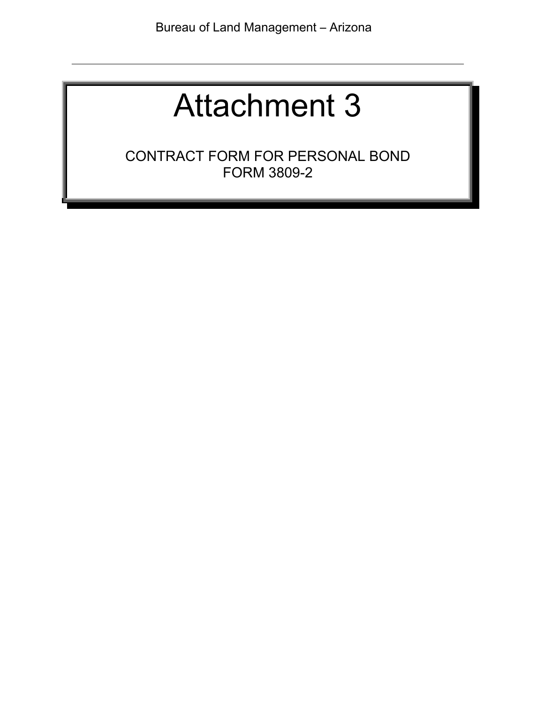CONTRACT FORM FOR PERSONAL BOND FORM 3809-2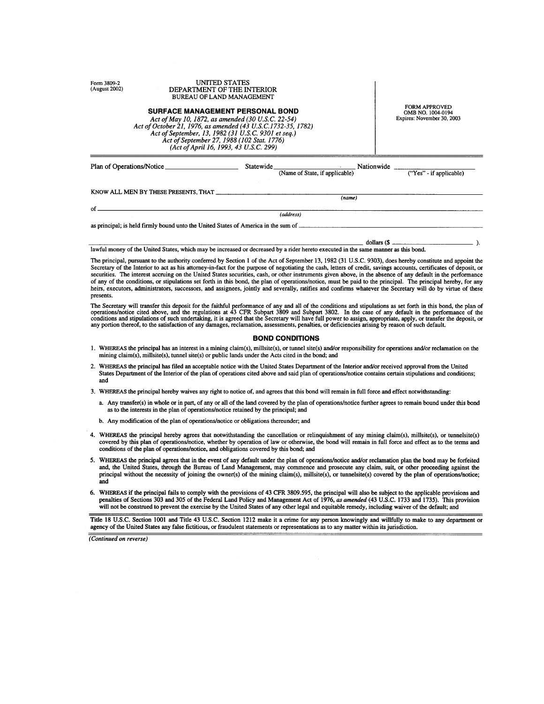| UNITED STATES<br>Form 3809-2<br>(August 2002)<br>DEPARTMENT OF THE INTERIOR<br><b>BUREAU OF LAND MANAGEMENT</b><br><b>SURFACE MANAGEMENT PERSONAL BOND</b><br>Act of May 10, 1872, as amended (30 U.S.C. 22-54)<br>Act of October 21, 1976, as amended (43 U.S.C.1732-35, 1782)<br>Act of September, 13, 1982 (31 U.S.C. 9301 et seq.)<br>Act of September 27, 1988 (102 Stat. 1776)<br>(Act of April 16, 1993, 43 U.S.C. 299) |                                      | <b>FORM APPROVED</b><br>OMB NO. 1004-0194<br>Expires: November 30, 2003                                                     |                         |
|--------------------------------------------------------------------------------------------------------------------------------------------------------------------------------------------------------------------------------------------------------------------------------------------------------------------------------------------------------------------------------------------------------------------------------|--------------------------------------|-----------------------------------------------------------------------------------------------------------------------------|-------------------------|
|                                                                                                                                                                                                                                                                                                                                                                                                                                | Plan of Operations/Notice            | Statewide Nationwide<br>(Name of State, if applicable)                                                                      | ("Yes" - if applicable) |
|                                                                                                                                                                                                                                                                                                                                                                                                                                | KNOW ALL MEN BY THESE PRESENTS, THAT | (name)                                                                                                                      |                         |
| Ωf                                                                                                                                                                                                                                                                                                                                                                                                                             |                                      |                                                                                                                             |                         |
|                                                                                                                                                                                                                                                                                                                                                                                                                                |                                      | (address)<br>as principal; is held firmly bound unto the United States of America in the sum of ___________________________ |                         |
|                                                                                                                                                                                                                                                                                                                                                                                                                                |                                      |                                                                                                                             | dollars (\$             |

lawful money of the United States, which may be increased or decreased by a rider hereto executed in the same manner as this bond.

The principal, pursuant to the authority conferred by Section 1 of the Act of September 13, 1982 (31 U.S.C. 9303), does hereby constitute and appoint the Secretary of the Interior to act as his attorney-in-fact for the purpose of negotiating the cash, letters of credit, savings accounts, certificates of deposit, or securities. The interest accruing on the United States securities, cash, or other instruments given above, in the absence of any default in the performance of any of the conditions, or stipulations set forth in this bond, the plan of operations/notice, must be paid to the principal. The principal hereby, for any heirs, executors, administrators, successors, and assignees, jointly and severally, ratifies and confirms whatever the Secretary will do by virtue of these presents.

The Secretary will transfer this deposit for the faithful performance of any and all of the conditions and stipulations as set forth in this bond, the plan of operations/notice cited above, and the regulations at 43 CFR Su

#### **BOND CONDITIONS**

- 1. WHEREAS the principal has an interest in a mining claim(s), millsite(s), or tunnel site(s) and/or responsibility for operations and/or reclamation on the mining claim(s), millsite(s), tunnel site(s) or public lands under the Acts cited in the bond; and
- 2. WHEREAS the principal has filed an acceptable notice with the United States Department of the Interior and/or received approval from the United States Department of the Interior of the plan of operations cited above and said plan of operations/notice contains certain stipulations and conditions; and

3. WHEREAS the principal hereby waives any right to notice of, and agrees that this bond will remain in full force and effect notwithstanding:

- a. Any transfer(s) in whole or in part, of any or all of the land covered by the plan of operations/notice further agrees to remain bound under this bond as to the interests in the plan of operations/notice retained by the principal; and
- b. Any modification of the plan of operations/notice or obligations thereunder; and
- 4. WHEREAS the principal hereby agrees that notwithstanding the cancellation or relinquishment of any mining claim(s), millsite(s), or tunnelsite(s) covered by this plan of operations/notice, whether by operation of law or otherwise, the bond will remain in full force and effect as to the terms and conditions of the plan of operations/notice, and obligations covered by this bond; and
- 5. WHEREAS the principal agrees that in the event of any default under the plan of operations/notice and/or reclamation plan the bond may be forfeited and, the United States, through the Bureau of Land Management, may commence and prosecute any claim, suit, or other proceeding against the principal without the necessity of joining the owner(s) of the mining claim(s), millsite(s), or tunnelsite(s) covered by the plan of operations/notice; and
- 6. WHEREAS if the principal fails to comply with the provisions of 43 CFR 3809.595, the principal will also be subject to the applicable provisions and penalties of Sections 303 and 305 of the Federal Land Policy and Management Act of 1976, as amended (43 U.S.C. 1733 and 1735). This provision will not be construed to prevent the exercise by the United States of any other legal and equitable remedy, including waiver of the default; and

Title 18 U.S.C. Section 1001 and Title 43 U.S.C. Section 1212 make it a crime for any person knowingly and willfully to make to any department or agency of the United States any false fictitious, or fraudulent statements or representations as to any matter within its jurisdiction.

(Continued on reverse)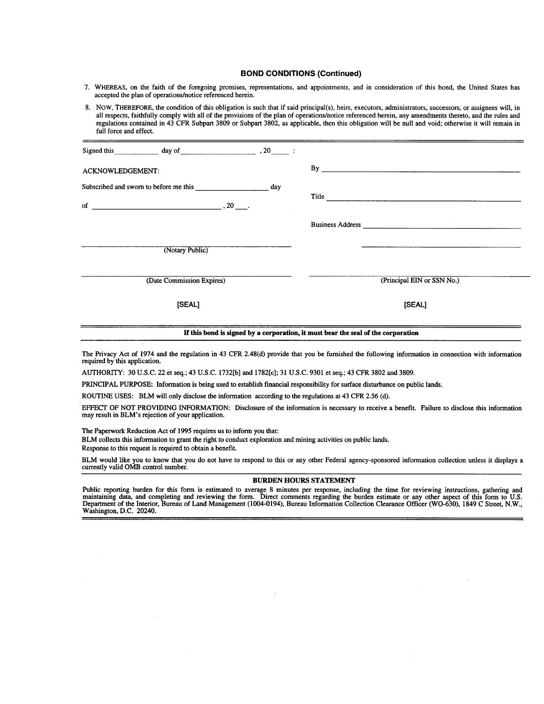#### **BOND CONDITIONS (Continued)**

- 7. WHEREAS, on the faith of the foregoing promises, representations, and appointments, and in consideration of this bond, the United States has accepted the plan of operations/notice referenced herein.
- 8. NOW, THEREFORE, the condition of this obligation is such that if said principal(s), heirs, executors, administrators, successors, or assignees will, in all respects, faithfully comply with all of the provisions of the plan of operations/notice referenced herein, any amendments thereto, and the rules and regulations contained in 43 CFR Subpart 3809 or Subpart 3802, as applicable, then this obligation will be null and void; otherwise it will remain in full force and effect.

| Signed this $\qquad \qquad \text{day of} \qquad \qquad .20 \qquad .$ |                                                                                                                                                                                                                                |
|----------------------------------------------------------------------|--------------------------------------------------------------------------------------------------------------------------------------------------------------------------------------------------------------------------------|
| <b>ACKNOWLEDGEMENT:</b>                                              | By the contract of the contract of the contract of the contract of the contract of the contract of the contract of the contract of the contract of the contract of the contract of the contract of the contract of the contrac |
|                                                                      |                                                                                                                                                                                                                                |
| of $\qquad \qquad \qquad .20$                                        |                                                                                                                                                                                                                                |
|                                                                      |                                                                                                                                                                                                                                |
| (Notary Public)                                                      |                                                                                                                                                                                                                                |
| (Date Commission Expires)                                            | (Principal EIN or SSN No.)                                                                                                                                                                                                     |
| [SEAL]                                                               | [SEAL]                                                                                                                                                                                                                         |
|                                                                      |                                                                                                                                                                                                                                |

#### If this bond is signed by a corporation, it must bear the seal of the corporation

The Privacy Act of 1974 and the regulation in 43 CFR 2.48(d) provide that you be furnished the following information in connection with information required by this application.

AUTHORITY: 30 U.S.C. 22 et seq.; 43 U.S.C. 1732[b] and 1782[c]; 31 U.S.C. 9301 et seq.; 43 CFR 3802 and 3809.

PRINCIPAL PURPOSE: Information is being used to establish financial responsibility for surface disturbance on public lands.

ROUTINE USES: BLM will only disclose the information according to the regulations at 43 CFR 2.56 (d).

EFFECT OF NOT PROVIDING INFORMATION: Disclosure of the information is necessary to receive a benefit. Failure to disclose this information may result in BLM's rejection of your application.

The Paperwork Reduction Act of 1995 requires us to inform you that:

BLM collects this information to grant the right to conduct exploration and mining activities on public lands. Response to this request is required to obtain a benefit.

BLM would like you to know that you do not have to respond to this or any other Federal agency-sponsored information collection unless it displays a currently valid OMB control number.

#### **BURDEN HOURS STATEMENT**

Public reporting burden for this form is estimated to average 8 minutes per response, including the time for reviewing instructions, gathering and maintaining data, and completing and reviewing the form. Direct comments re Washington, D.C. 20240.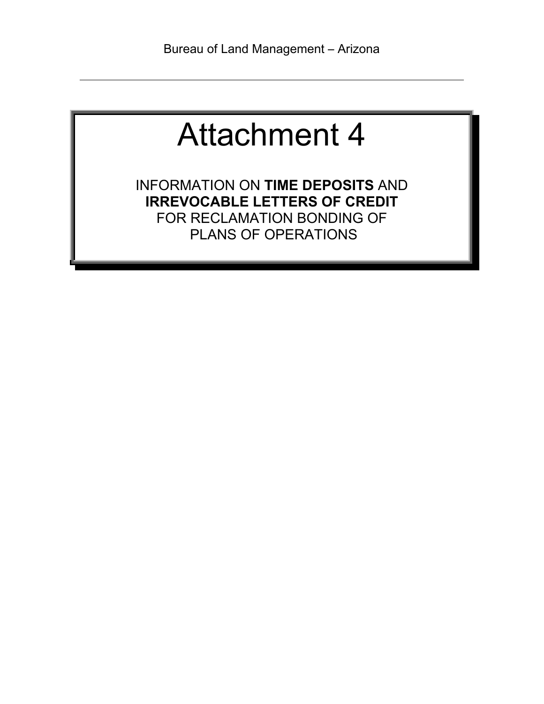INFORMATION ON **TIME DEPOSITS** AND **IRREVOCABLE LETTERS OF CREDIT** FOR RECLAMATION BONDING OF PLANS OF OPERATIONS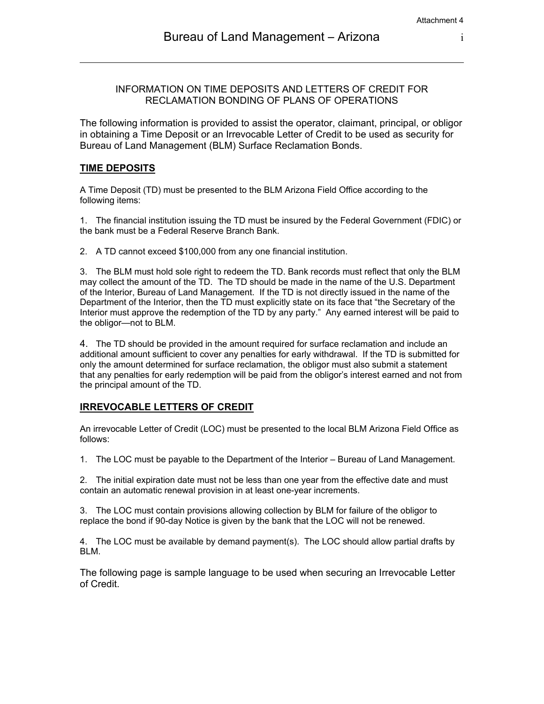#### INFORMATION ON TIME DEPOSITS AND LETTERS OF CREDIT FOR RECLAMATION BONDING OF PLANS OF OPERATIONS

The following information is provided to assist the operator, claimant, principal, or obligor in obtaining a Time Deposit or an Irrevocable Letter of Credit to be used as security for Bureau of Land Management (BLM) Surface Reclamation Bonds.

#### **TIME DEPOSITS**

A Time Deposit (TD) must be presented to the BLM Arizona Field Office according to the following items:

1. The financial institution issuing the TD must be insured by the Federal Government (FDIC) or the bank must be a Federal Reserve Branch Bank.

2. A TD cannot exceed \$100,000 from any one financial institution.

3. The BLM must hold sole right to redeem the TD. Bank records must reflect that only the BLM may collect the amount of the TD. The TD should be made in the name of the U.S. Department of the Interior, Bureau of Land Management. If the TD is not directly issued in the name of the Department of the Interior, then the TD must explicitly state on its face that "the Secretary of the Interior must approve the redemption of the TD by any party." Any earned interest will be paid to the obligor—not to BLM.

4. The TD should be provided in the amount required for surface reclamation and include an additional amount sufficient to cover any penalties for early withdrawal. If the TD is submitted for only the amount determined for surface reclamation, the obligor must also submit a statement that any penalties for early redemption will be paid from the obligor's interest earned and not from the principal amount of the TD.

#### **IRREVOCABLE LETTERS OF CREDIT**

An irrevocable Letter of Credit (LOC) must be presented to the local BLM Arizona Field Office as follows:

1. The LOC must be payable to the Department of the Interior – Bureau of Land Management.

2. The initial expiration date must not be less than one year from the effective date and must contain an automatic renewal provision in at least one-year increments.

3. The LOC must contain provisions allowing collection by BLM for failure of the obligor to replace the bond if 90-day Notice is given by the bank that the LOC will not be renewed.

4. The LOC must be available by demand payment(s). The LOC should allow partial drafts by BLM.

The following page is sample language to be used when securing an Irrevocable Letter of Credit.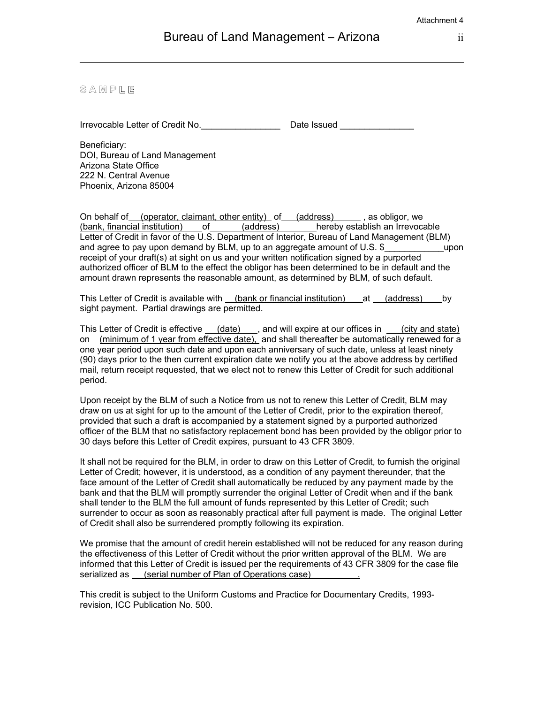#### **S A M P L E**

Irrevocable Letter of Credit No. \_\_\_\_\_\_\_\_\_\_\_\_\_\_\_\_\_\_\_\_\_\_\_\_\_\_ Date Issued \_\_\_\_\_\_\_\_\_

Beneficiary: DOI, Bureau of Land Management Arizona State Office 222 N. Central Avenue Phoenix, Arizona 85004

On behalf of (operator, claimant, other entity) of (address) and as obligor, we (bank, financial institution) of (address) hereby establish an Irrevocable Letter of Credit in favor of the U.S. Department of Interior, Bureau of Land Management (BLM) and agree to pay upon demand by BLM, up to an aggregate amount of U.S. \$ \_\_\_\_\_\_\_\_\_\_\_\_\_\_\_\_\_upon receipt of your draft(s) at sight on us and your written notification signed by a purported authorized officer of BLM to the effect the obligor has been determined to be in default and the amount drawn represents the reasonable amount, as determined by BLM, of such default.

This Letter of Credit is available with (bank or financial institution) at (address) by sight payment. Partial drawings are permitted.

This Letter of Credit is effective (date), and will expire at our offices in (city and state) on (minimum of 1 year from effective date), and shall thereafter be automatically renewed for a one year period upon such date and upon each anniversary of such date, unless at least ninety (90) days prior to the then current expiration date we notify you at the above address by certified mail, return receipt requested, that we elect not to renew this Letter of Credit for such additional period.

Upon receipt by the BLM of such a Notice from us not to renew this Letter of Credit, BLM may draw on us at sight for up to the amount of the Letter of Credit, prior to the expiration thereof, provided that such a draft is accompanied by a statement signed by a purported authorized officer of the BLM that no satisfactory replacement bond has been provided by the obligor prior to 30 days before this Letter of Credit expires, pursuant to 43 CFR 3809.

It shall not be required for the BLM, in order to draw on this Letter of Credit, to furnish the original Letter of Credit; however, it is understood, as a condition of any payment thereunder, that the face amount of the Letter of Credit shall automatically be reduced by any payment made by the bank and that the BLM will promptly surrender the original Letter of Credit when and if the bank shall tender to the BLM the full amount of funds represented by this Letter of Credit; such surrender to occur as soon as reasonably practical after full payment is made. The original Letter of Credit shall also be surrendered promptly following its expiration.

We promise that the amount of credit herein established will not be reduced for any reason during the effectiveness of this Letter of Credit without the prior written approval of the BLM. We are informed that this Letter of Credit is issued per the requirements of 43 CFR 3809 for the case file serialized as (serial number of Plan of Operations case)

This credit is subject to the Uniform Customs and Practice for Documentary Credits, 1993 revision, ICC Publication No. 500.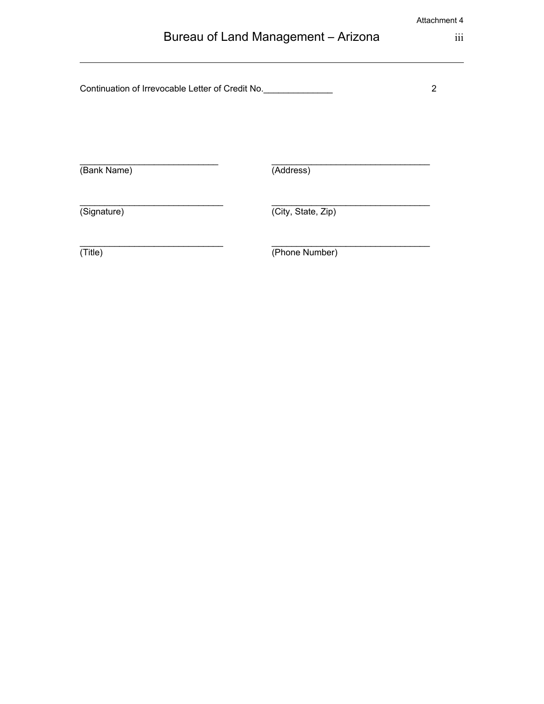| Bureau of Land Management - Arizona |  |
|-------------------------------------|--|
|-------------------------------------|--|

Continuation of Irrevocable Letter of Credit No.\_\_\_\_\_\_\_\_\_\_\_\_\_\_\_\_\_\_\_\_\_\_\_\_\_\_\_\_\_\_\_\_\_

\_\_\_\_\_\_\_\_\_\_\_\_\_\_\_\_\_\_\_\_\_\_\_\_\_\_\_\_\_ \_\_\_\_\_\_\_\_\_\_\_\_\_\_\_\_\_\_\_\_\_\_\_\_\_\_\_\_\_\_\_\_

 $\overline{\phantom{a}}$  , and the contribution of the contribution of  $\overline{\phantom{a}}$  , and  $\overline{\phantom{a}}$  , and  $\overline{\phantom{a}}$  , and  $\overline{\phantom{a}}$ 

 $\_$  , and the set of the set of the set of the set of the set of the set of the set of the set of the set of the set of the set of the set of the set of the set of the set of the set of the set of the set of the set of th (Bank Name) (Address)

(Signature) (City, State, Zip)

(Title) (Phone Number)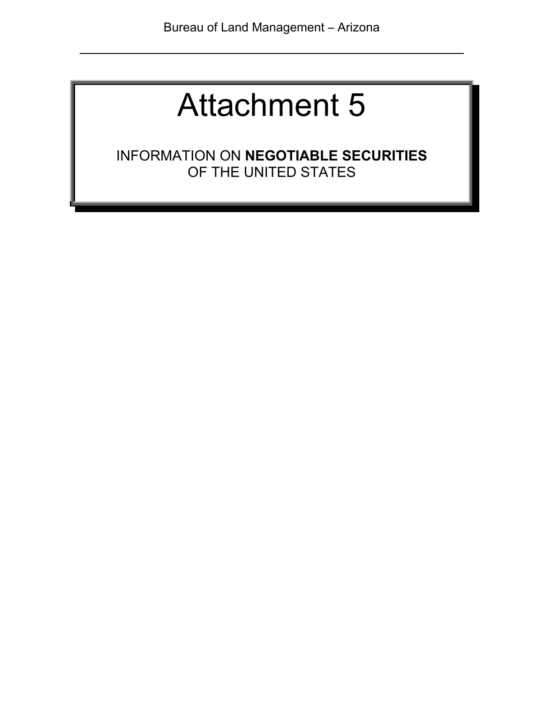INFORMATION ON **NEGOTIABLE SECURITIES** OF THE UNITED STATES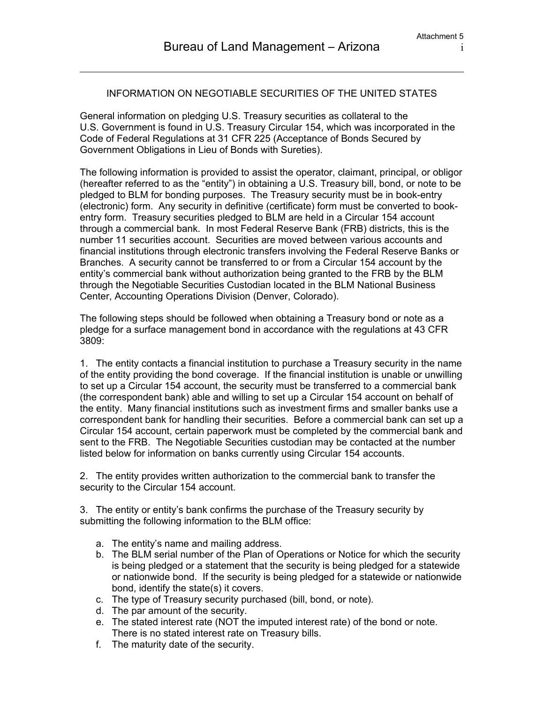#### INFORMATION ON NEGOTIABLE SECURITIES OF THE UNITED STATES

General information on pledging U.S. Treasury securities as collateral to the U.S. Government is found in U.S. Treasury Circular 154, which was incorporated in the Code of Federal Regulations at 31 CFR 225 (Acceptance of Bonds Secured by Government Obligations in Lieu of Bonds with Sureties).

The following information is provided to assist the operator, claimant, principal, or obligor (hereafter referred to as the "entity") in obtaining a U.S. Treasury bill, bond, or note to be pledged to BLM for bonding purposes. The Treasury security must be in book-entry (electronic) form. Any security in definitive (certificate) form must be converted to bookentry form. Treasury securities pledged to BLM are held in a Circular 154 account through a commercial bank. In most Federal Reserve Bank (FRB) districts, this is the number 11 securities account. Securities are moved between various accounts and financial institutions through electronic transfers involving the Federal Reserve Banks or Branches. A security cannot be transferred to or from a Circular 154 account by the entity's commercial bank without authorization being granted to the FRB by the BLM through the Negotiable Securities Custodian located in the BLM National Business Center, Accounting Operations Division (Denver, Colorado).

The following steps should be followed when obtaining a Treasury bond or note as a pledge for a surface management bond in accordance with the regulations at 43 CFR 3809:

1. The entity contacts a financial institution to purchase a Treasury security in the name of the entity providing the bond coverage. If the financial institution is unable or unwilling to set up a Circular 154 account, the security must be transferred to a commercial bank (the correspondent bank) able and willing to set up a Circular 154 account on behalf of the entity. Many financial institutions such as investment firms and smaller banks use a correspondent bank for handling their securities. Before a commercial bank can set up a Circular 154 account, certain paperwork must be completed by the commercial bank and sent to the FRB. The Negotiable Securities custodian may be contacted at the number listed below for information on banks currently using Circular 154 accounts.

2. The entity provides written authorization to the commercial bank to transfer the security to the Circular 154 account.

3. The entity or entity's bank confirms the purchase of the Treasury security by submitting the following information to the BLM office:

- a. The entity's name and mailing address.
- b. The BLM serial number of the Plan of Operations or Notice for which the security is being pledged or a statement that the security is being pledged for a statewide or nationwide bond. If the security is being pledged for a statewide or nationwide bond, identify the state(s) it covers.
- c. The type of Treasury security purchased (bill, bond, or note).
- d. The par amount of the security.
- e. The stated interest rate (NOT the imputed interest rate) of the bond or note. There is no stated interest rate on Treasury bills.
- f. The maturity date of the security.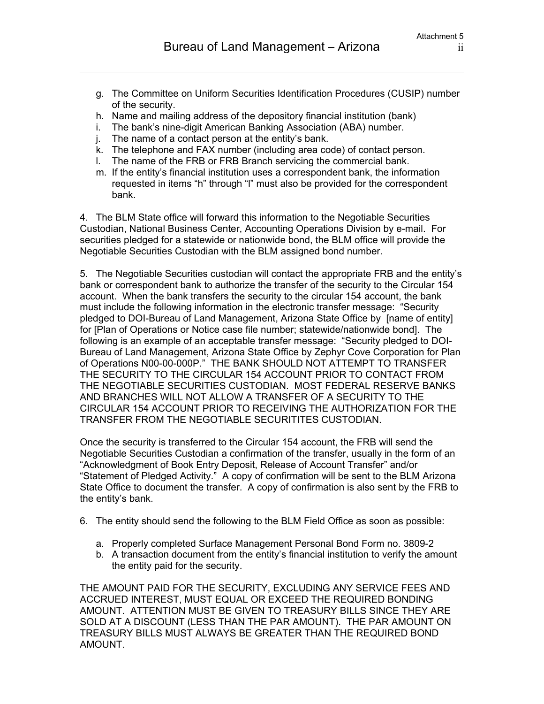- g. The Committee on Uniform Securities Identification Procedures (CUSIP) number of the security.
- h. Name and mailing address of the depository financial institution (bank)
- i. The bank's nine-digit American Banking Association (ABA) number.
- j. The name of a contact person at the entity's bank.
- k. The telephone and FAX number (including area code) of contact person.
- l. The name of the FRB or FRB Branch servicing the commercial bank.
- m. If the entity's financial institution uses a correspondent bank, the information requested in items "h" through "l" must also be provided for the correspondent bank.

4. The BLM State office will forward this information to the Negotiable Securities Custodian, National Business Center, Accounting Operations Division by e-mail. For securities pledged for a statewide or nationwide bond, the BLM office will provide the Negotiable Securities Custodian with the BLM assigned bond number.

5. The Negotiable Securities custodian will contact the appropriate FRB and the entity's bank or correspondent bank to authorize the transfer of the security to the Circular 154 account. When the bank transfers the security to the circular 154 account, the bank must include the following information in the electronic transfer message: "Security pledged to DOI-Bureau of Land Management, Arizona State Office by [name of entity] for [Plan of Operations or Notice case file number; statewide/nationwide bond]. The following is an example of an acceptable transfer message: "Security pledged to DOI-Bureau of Land Management, Arizona State Office by Zephyr Cove Corporation for Plan of Operations N00-00-000P." THE BANK SHOULD NOT ATTEMPT TO TRANSFER THE SECURITY TO THE CIRCULAR 154 ACCOUNT PRIOR TO CONTACT FROM THE NEGOTIABLE SECURITIES CUSTODIAN. MOST FEDERAL RESERVE BANKS AND BRANCHES WILL NOT ALLOW A TRANSFER OF A SECURITY TO THE CIRCULAR 154 ACCOUNT PRIOR TO RECEIVING THE AUTHORIZATION FOR THE TRANSFER FROM THE NEGOTIABLE SECURITITES CUSTODIAN.

Once the security is transferred to the Circular 154 account, the FRB will send the Negotiable Securities Custodian a confirmation of the transfer, usually in the form of an "Acknowledgment of Book Entry Deposit, Release of Account Transfer" and/or "Statement of Pledged Activity." A copy of confirmation will be sent to the BLM Arizona State Office to document the transfer. A copy of confirmation is also sent by the FRB to the entity's bank.

- 6. The entity should send the following to the BLM Field Office as soon as possible:
	- a. Properly completed Surface Management Personal Bond Form no. 3809-2
	- b. A transaction document from the entity's financial institution to verify the amount the entity paid for the security.

THE AMOUNT PAID FOR THE SECURITY, EXCLUDING ANY SERVICE FEES AND ACCRUED INTEREST, MUST EQUAL OR EXCEED THE REQUIRED BONDING AMOUNT. ATTENTION MUST BE GIVEN TO TREASURY BILLS SINCE THEY ARE SOLD AT A DISCOUNT (LESS THAN THE PAR AMOUNT). THE PAR AMOUNT ON TREASURY BILLS MUST ALWAYS BE GREATER THAN THE REQUIRED BOND AMOUNT.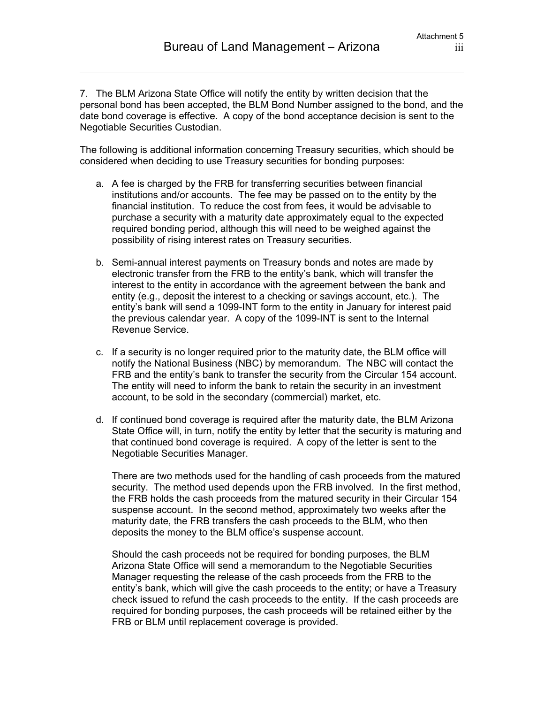7. The BLM Arizona State Office will notify the entity by written decision that the personal bond has been accepted, the BLM Bond Number assigned to the bond, and the date bond coverage is effective. A copy of the bond acceptance decision is sent to the Negotiable Securities Custodian.

The following is additional information concerning Treasury securities, which should be considered when deciding to use Treasury securities for bonding purposes:

- a. A fee is charged by the FRB for transferring securities between financial institutions and/or accounts. The fee may be passed on to the entity by the financial institution. To reduce the cost from fees, it would be advisable to purchase a security with a maturity date approximately equal to the expected required bonding period, although this will need to be weighed against the possibility of rising interest rates on Treasury securities.
- b. Semi-annual interest payments on Treasury bonds and notes are made by electronic transfer from the FRB to the entity's bank, which will transfer the interest to the entity in accordance with the agreement between the bank and entity (e.g., deposit the interest to a checking or savings account, etc.). The entity's bank will send a 1099-INT form to the entity in January for interest paid the previous calendar year. A copy of the 1099-INT is sent to the Internal Revenue Service.
- c. If a security is no longer required prior to the maturity date, the BLM office will notify the National Business (NBC) by memorandum. The NBC will contact the FRB and the entity's bank to transfer the security from the Circular 154 account. The entity will need to inform the bank to retain the security in an investment account, to be sold in the secondary (commercial) market, etc.
- d. If continued bond coverage is required after the maturity date, the BLM Arizona State Office will, in turn, notify the entity by letter that the security is maturing and that continued bond coverage is required. A copy of the letter is sent to the Negotiable Securities Manager.

There are two methods used for the handling of cash proceeds from the matured security. The method used depends upon the FRB involved. In the first method, the FRB holds the cash proceeds from the matured security in their Circular 154 suspense account. In the second method, approximately two weeks after the maturity date, the FRB transfers the cash proceeds to the BLM, who then deposits the money to the BLM office's suspense account.

Should the cash proceeds not be required for bonding purposes, the BLM Arizona State Office will send a memorandum to the Negotiable Securities Manager requesting the release of the cash proceeds from the FRB to the entity's bank, which will give the cash proceeds to the entity; or have a Treasury check issued to refund the cash proceeds to the entity. If the cash proceeds are required for bonding purposes, the cash proceeds will be retained either by the FRB or BLM until replacement coverage is provided.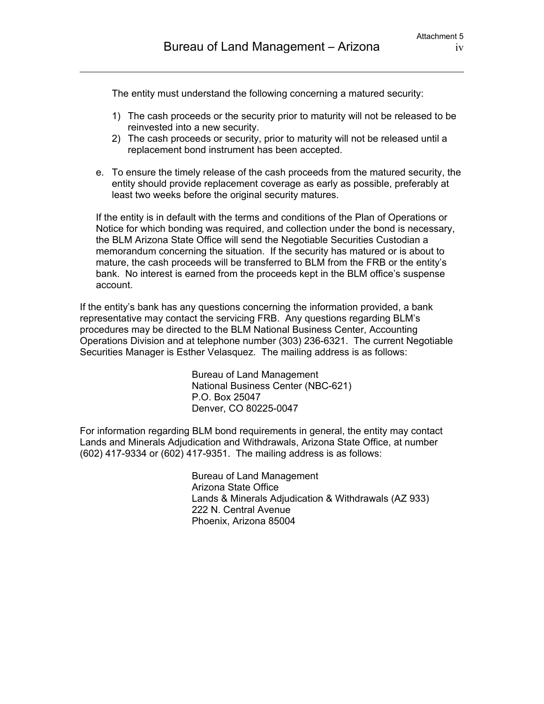The entity must understand the following concerning a matured security:

- 1) The cash proceeds or the security prior to maturity will not be released to be reinvested into a new security.
- 2) The cash proceeds or security, prior to maturity will not be released until a replacement bond instrument has been accepted.
- e. To ensure the timely release of the cash proceeds from the matured security, the entity should provide replacement coverage as early as possible, preferably at least two weeks before the original security matures.

If the entity is in default with the terms and conditions of the Plan of Operations or Notice for which bonding was required, and collection under the bond is necessary, the BLM Arizona State Office will send the Negotiable Securities Custodian a memorandum concerning the situation. If the security has matured or is about to mature, the cash proceeds will be transferred to BLM from the FRB or the entity's bank. No interest is earned from the proceeds kept in the BLM office's suspense account.

If the entity's bank has any questions concerning the information provided, a bank representative may contact the servicing FRB. Any questions regarding BLM's procedures may be directed to the BLM National Business Center, Accounting Operations Division and at telephone number (303) 236-6321. The current Negotiable Securities Manager is Esther Velasquez. The mailing address is as follows:

> Bureau of Land Management National Business Center (NBC-621) P.O. Box 25047 Denver, CO 80225-0047

For information regarding BLM bond requirements in general, the entity may contact Lands and Minerals Adjudication and Withdrawals, Arizona State Office, at number (602) 417-9334 or (602) 417-9351. The mailing address is as follows:

> Bureau of Land Management Arizona State Office Lands & Minerals Adjudication & Withdrawals (AZ 933) 222 N. Central Avenue Phoenix, Arizona 85004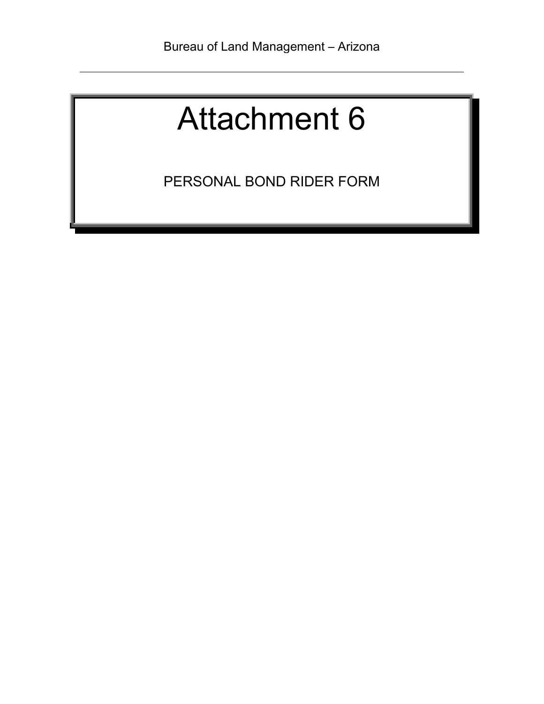PERSONAL BOND RIDER FORM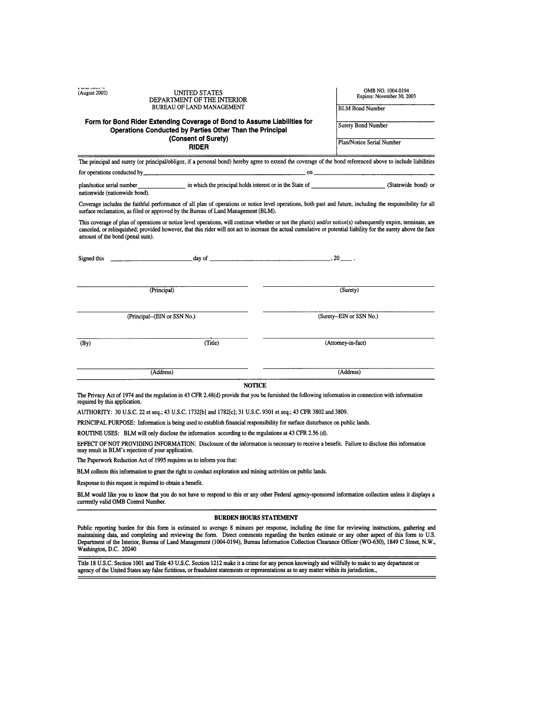| a wina suus n<br>(August 2002)  | <b>UNITED STATES</b><br>DEPARTMENT OF THE INTERIOR                                                                                                                                                                                                                                                                                |  | OMB NO. 1004-0194<br>Expires: November 30, 2003 |  |
|---------------------------------|-----------------------------------------------------------------------------------------------------------------------------------------------------------------------------------------------------------------------------------------------------------------------------------------------------------------------------------|--|-------------------------------------------------|--|
|                                 | <b>BUREAU OF LAND MANAGEMENT</b>                                                                                                                                                                                                                                                                                                  |  | <b>BLM Bond Number</b>                          |  |
|                                 | Form for Bond Rider Extending Coverage of Bond to Assume Liabilities for<br>Operations Conducted by Parties Other Than the Principal                                                                                                                                                                                              |  | <b>Surety Bond Number</b>                       |  |
|                                 | (Consent of Surety)<br><b>RIDER</b>                                                                                                                                                                                                                                                                                               |  | Plan/Notice Serial Number                       |  |
|                                 | The principal and surety (or principal/obligor, if a personal bond) hereby agree to extend the coverage of the bond referenced above to include liabilities                                                                                                                                                                       |  |                                                 |  |
|                                 |                                                                                                                                                                                                                                                                                                                                   |  |                                                 |  |
| nationwide (nationwide bond).   |                                                                                                                                                                                                                                                                                                                                   |  |                                                 |  |
|                                 | Coverage includes the faithful performance of all plan of operations or notice level operations, both past and future, including the responsibility for all<br>surface reclamation, as filed or approved by the Bureau of Land Management (BLM).                                                                                  |  |                                                 |  |
| amount of the bond (penal sum). | This coverage of plan of operations or notice level operations, will continue whether or not the plan(s) and/or notice(s) subsequently expire, terminate, are<br>canceled, or relinquished; provided however, that this rider will not act to increase the actual cumulative or potential liability for the surety above the face |  |                                                 |  |
|                                 | Signed this $\frac{1}{2}$ and $\frac{1}{2}$ day of $\frac{1}{2}$ and $\frac{1}{2}$ and $\frac{1}{2}$ and $\frac{1}{2}$ and $\frac{1}{2}$ and $\frac{1}{2}$ and $\frac{1}{2}$ and $\frac{1}{2}$ and $\frac{1}{2}$ and $\frac{1}{2}$ and $\frac{1}{2}$ and $\frac{1}{2}$ and $\frac{1}{2}$                                          |  |                                                 |  |
|                                 | (Principal)                                                                                                                                                                                                                                                                                                                       |  | (Surety)                                        |  |
|                                 | (Principal--(EIN or SSN No.)                                                                                                                                                                                                                                                                                                      |  | (Surety--EIN or SSN No.)                        |  |
| (By)                            | (Title)                                                                                                                                                                                                                                                                                                                           |  | (Attorney-in-fact)                              |  |
|                                 | (Address)                                                                                                                                                                                                                                                                                                                         |  | (Address)                                       |  |
|                                 | <b>NOTICE</b>                                                                                                                                                                                                                                                                                                                     |  |                                                 |  |
| required by this application.   | The Privacy Act of 1974 and the regulation in 43 CFR 2.48(d) provide that you be furnished the following information in connection with information                                                                                                                                                                               |  |                                                 |  |

AUTHORITY: 30 U.S.C. 22 et seq.; 43 U.S.C. 1732[b] and 1782[c]; 31 U.S.C. 9301 et seq.; 43 CFR 3802 and 3809.

PRINCIPAL PURPOSE: Information is being used to establish financial responsibility for surface disturbance on public lands.

ROUTINE USES: BLM will only disclose the information according to the regulations at 43 CFR 2.56 (d).

EFFECT OF NOT PROVIDING INFORMATION: Disclosure of the information is necessary to receive a benefit. Failure to disclose this information may result in BLM's rejection of your application.

The Paperwork Reduction Act of 1995 requires us to inform you that:

BLM collects this information to grant the right to conduct exploration and mining activities on public lands.

Response to this request is required to obtain a benefit.

a oraș poop și

BLM would like you to know that you do not have to respond to this or any other Federal agency-sponsored information collection unless it displays a currently valid OMB Control Number.

#### BURDEN HOURS STATEMENT

Public reporting burden for this form is estimated to average 8 minutes per response, including the time for reviewing instructions, gathering and maintaining data, and completing and reviewing the form. Direct comments re Washington, D.C. 20240

Title 18 U.S.C. Section 1001 and Title 43 U.S.C. Section 1212 make it a crime for any person knowingly and willfully to make to any department or agency of the United States any false fictitious, or fraudulent statements or representations as to any matter within its jurisdiction.,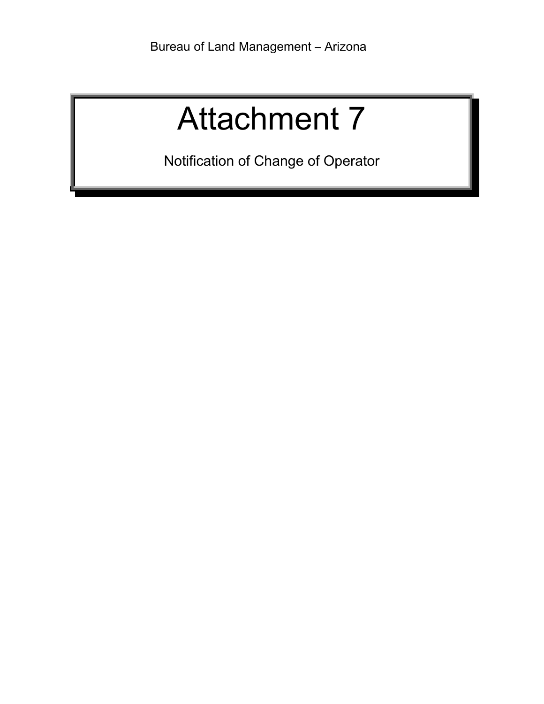Notification of Change of Operator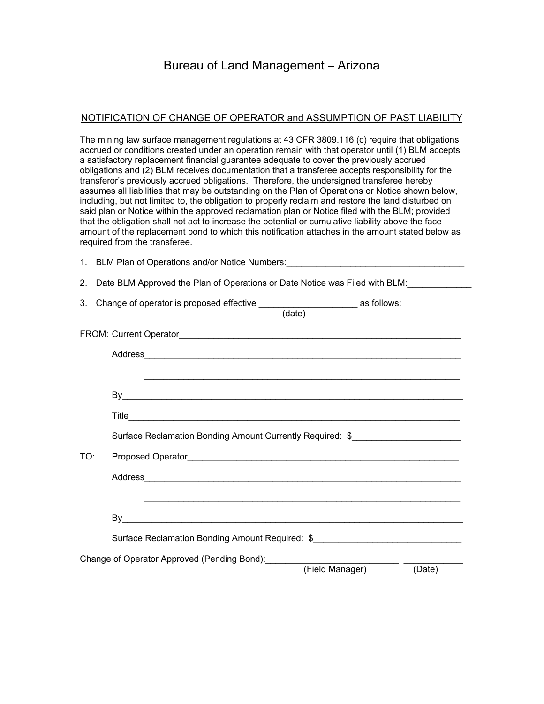#### NOTIFICATION OF CHANGE OF OPERATOR and ASSUMPTION OF PAST LIABILITY

The mining law surface management regulations at 43 CFR 3809.116 (c) require that obligations accrued or conditions created under an operation remain with that operator until (1) BLM accepts a satisfactory replacement financial guarantee adequate to cover the previously accrued obligations and (2) BLM receives documentation that a transferee accepts responsibility for the transferor's previously accrued obligations. Therefore, the undersigned transferee hereby assumes all liabilities that may be outstanding on the Plan of Operations or Notice shown below, including, but not limited to, the obligation to properly reclaim and restore the land disturbed on said plan or Notice within the approved reclamation plan or Notice filed with the BLM; provided that the obligation shall not act to increase the potential or cumulative liability above the face amount of the replacement bond to which this notification attaches in the amount stated below as required from the transferee.

|     | 1. BLM Plan of Operations and/or Notice Numbers: _______________________________                                      |
|-----|-----------------------------------------------------------------------------------------------------------------------|
|     | 2. Date BLM Approved the Plan of Operations or Date Notice was Filed with BLM:                                        |
| 3.  |                                                                                                                       |
|     |                                                                                                                       |
|     |                                                                                                                       |
|     |                                                                                                                       |
|     |                                                                                                                       |
|     |                                                                                                                       |
|     | Surface Reclamation Bonding Amount Currently Required: \$                                                             |
| TO: |                                                                                                                       |
|     |                                                                                                                       |
|     | <u> 1989 - Johann Harry Harry Harry Harry Harry Harry Harry Harry Harry Harry Harry Harry Harry Harry Harry Harry</u> |
|     |                                                                                                                       |
|     | Surface Reclamation Bonding Amount Required: \$                                                                       |
|     | Change of Operator Approved (Pending Bond):<br>(Field Manager)<br>(Date)                                              |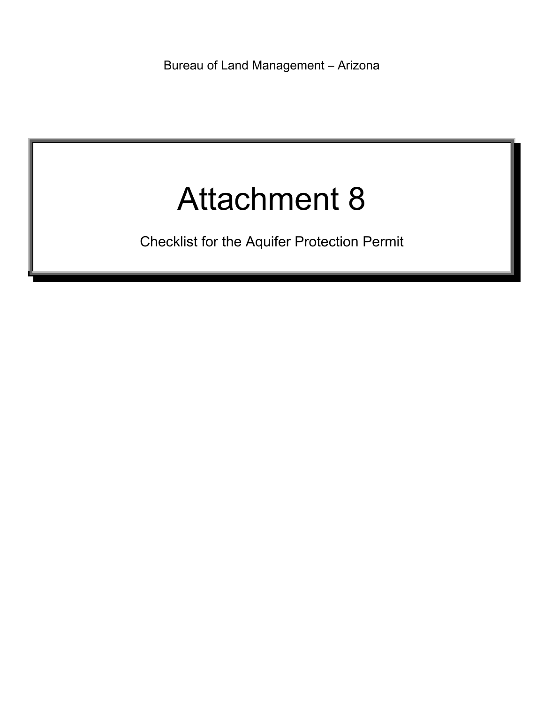Checklist for the Aquifer Protection Permit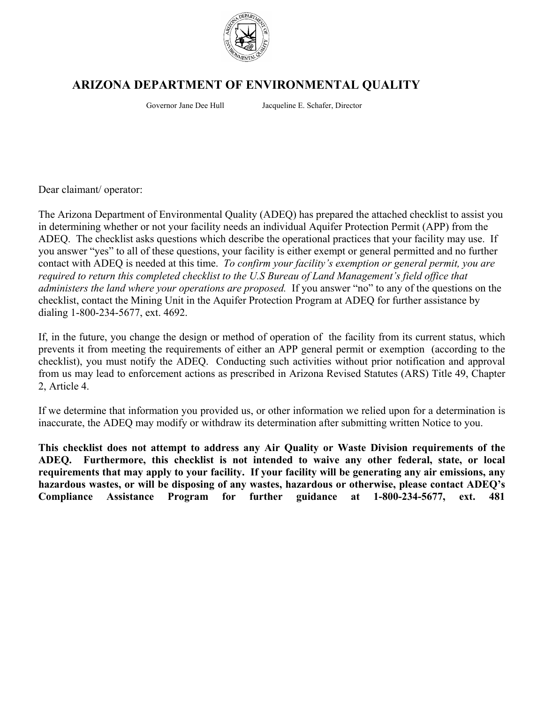

## **ARIZONA DEPARTMENT OF ENVIRONMENTAL QUALITY**

Governor Jane Dee Hull Jacqueline E. Schafer, Director

Dear claimant/ operator:

The Arizona Department of Environmental Quality (ADEQ) has prepared the attached checklist to assist you in determining whether or not your facility needs an individual Aquifer Protection Permit (APP) from the ADEQ. The checklist asks questions which describe the operational practices that your facility may use. If you answer "yes" to all of these questions, your facility is either exempt or general permitted and no further contact with ADEQ is needed at this time. *To confirm your facility's exemption or general permit, you are required to return this completed checklist to the U.S Bureau of Land Management's field office that administers the land where your operations are proposed.* If you answer "no" to any of the questions on the checklist, contact the Mining Unit in the Aquifer Protection Program at ADEQ for further assistance by dialing 1-800-234-5677, ext. 4692.

If, in the future, you change the design or method of operation of the facility from its current status, which prevents it from meeting the requirements of either an APP general permit or exemption (according to the checklist), you must notify the ADEQ. Conducting such activities without prior notification and approval from us may lead to enforcement actions as prescribed in Arizona Revised Statutes (ARS) Title 49, Chapter 2, Article 4.

If we determine that information you provided us, or other information we relied upon for a determination is inaccurate, the ADEQ may modify or withdraw its determination after submitting written Notice to you.

**This checklist does not attempt to address any Air Quality or Waste Division requirements of the ADEQ. Furthermore, this checklist is not intended to waive any other federal, state, or local requirements that may apply to your facility. If your facility will be generating any air emissions, any hazardous wastes, or will be disposing of any wastes, hazardous or otherwise, please contact ADEQ's Compliance Assistance Program for further guidance at 1-800-234-5677, ext. 481**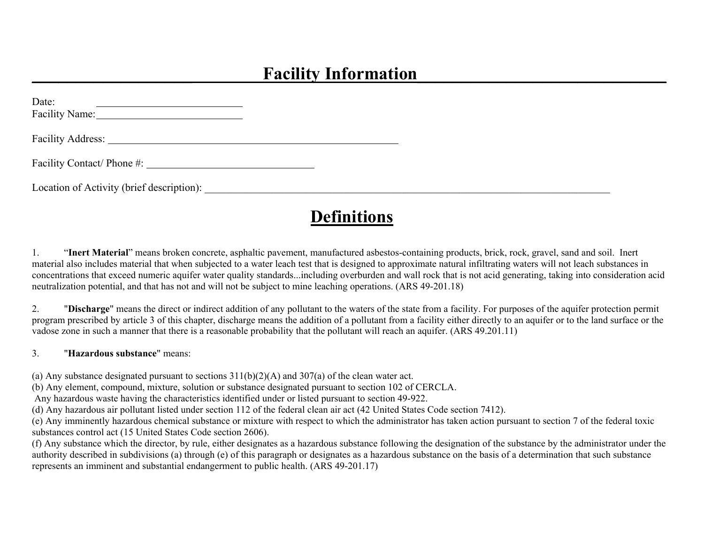## **Facility Information**

| Date:<br><u>state and the state of the state and the state of the state of the state of the state of the state of the state of the state of the state of the state of the state of the state of the state of the state of the state of th</u> |  |  |
|-----------------------------------------------------------------------------------------------------------------------------------------------------------------------------------------------------------------------------------------------|--|--|
|                                                                                                                                                                                                                                               |  |  |
|                                                                                                                                                                                                                                               |  |  |
|                                                                                                                                                                                                                                               |  |  |

## **Definitions**

1. "**Inert Material**" means broken concrete, asphaltic pavement, manufactured asbestos-containing products, brick, rock, gravel, sand and soil. Inert material also includes material that when subjected to a water leach test that is designed to approximate natural infiltrating waters will not leach substances in concentrations that exceed numeric aquifer water quality standards...including overburden and wall rock that is not acid generating, taking into consideration acid neutralization potential, and that has not and will not be subject to mine leaching operations. (ARS 49-201.18)

2. "**Discharge**" means the direct or indirect addition of any pollutant to the waters of the state from a facility. For purposes of the aquifer protection permit program prescribed by article 3 of this chapter, discharge means the addition of a pollutant from a facility either directly to an aquifer or to the land surface or the vadose zone in such a manner that there is a reasonable probability that the pollutant will reach an aquifer. (ARS 49.201.11)

3. "**Hazardous substance**" means:

(a) Any substance designated pursuant to sections  $311(b)(2)(A)$  and  $307(a)$  of the clean water act.

(b) Any element, compound, mixture, solution or substance designated pursuant to section 102 of CERCLA.

Any hazardous waste having the characteristics identified under or listed pursuant to section 49-922.

(d) Any hazardous air pollutant listed under section 112 of the federal clean air act (42 United States Code section 7412).

(e) Any imminently hazardous chemical substance or mixture with respect to which the administrator has taken action pursuant to section 7 of the federal toxic substances control act (15 United States Code section 2606).

(f) Any substance which the director, by rule, either designates as a hazardous substance following the designation of the substance by the administrator under the authority described in subdivisions (a) through (e) of this paragraph or designates as a hazardous substance on the basis of a determination that such substance represents an imminent and substantial endangerment to public health. (ARS 49-201.17)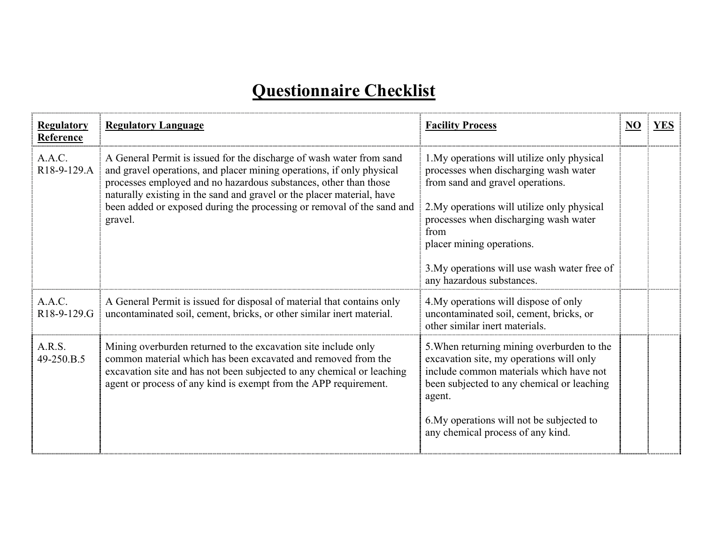# **Questionnaire Checklist**

| <b>Regulatory</b><br>Reference     | <b>Regulatory Language</b>                                                                                                                                                                                                                                                                                                                                                       | <b>Facility Process</b>                                                                                                                                                                                                                                                                                                            | N <sub>O</sub> | <b>YES</b> |
|------------------------------------|----------------------------------------------------------------------------------------------------------------------------------------------------------------------------------------------------------------------------------------------------------------------------------------------------------------------------------------------------------------------------------|------------------------------------------------------------------------------------------------------------------------------------------------------------------------------------------------------------------------------------------------------------------------------------------------------------------------------------|----------------|------------|
| A.A.C.<br>R <sub>18</sub> -9-129.A | A General Permit is issued for the discharge of wash water from sand<br>and gravel operations, and placer mining operations, if only physical<br>processes employed and no hazardous substances, other than those<br>naturally existing in the sand and gravel or the placer material, have<br>been added or exposed during the processing or removal of the sand and<br>gravel. | 1. My operations will utilize only physical<br>processes when discharging wash water<br>from sand and gravel operations.<br>2. My operations will utilize only physical<br>processes when discharging wash water<br>from<br>placer mining operations.<br>3. My operations will use wash water free of<br>any hazardous substances. |                |            |
| A.A.C.<br>R18-9-129.G              | A General Permit is issued for disposal of material that contains only<br>uncontaminated soil, cement, bricks, or other similar inert material.                                                                                                                                                                                                                                  | 4. My operations will dispose of only<br>uncontaminated soil, cement, bricks, or<br>other similar inert materials.                                                                                                                                                                                                                 |                |            |
| A.R.S.<br>49-250.B.5               | Mining overburden returned to the excavation site include only<br>common material which has been excavated and removed from the<br>excavation site and has not been subjected to any chemical or leaching<br>agent or process of any kind is exempt from the APP requirement.                                                                                                    | 5. When returning mining overburden to the<br>excavation site, my operations will only<br>include common materials which have not<br>been subjected to any chemical or leaching<br>agent.<br>6. My operations will not be subjected to<br>any chemical process of any kind.                                                        |                |            |